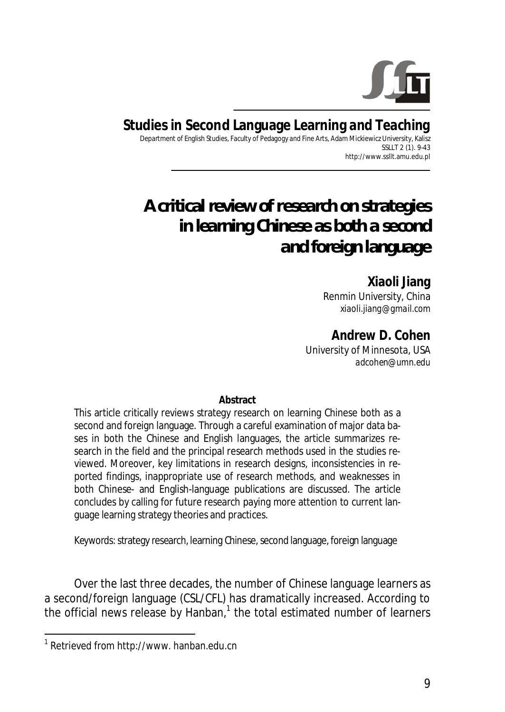

**Studies in Second Language Learning and Teaching**  Department of English Studies, Faculty of Pedagogy and Fine Arts, Adam Mickiewicz University, Kalisz SSLLT 2 (1). 9-43 http://www.ssllt.amu.edu.pl

# *A critical review of research on strategies in learning Chinese as both a second and foreign language*

**Xiaoli Jiang**  Renmin University, China *xiaoli.jiang@gmail.com* 

**Andrew D. Cohen**  University of Minnesota, USA *adcohen@umn.edu*

**Abstract** 

This article critically reviews strategy research on learning Chinese both as a second and foreign language. Through a careful examination of major data bases in both the Chinese and English languages, the article summarizes research in the field and the principal research methods used in the studies reviewed. Moreover, key limitations in research designs, inconsistencies in reported findings, inappropriate use of research methods, and weaknesses in both Chinese- and English-language publications are discussed. The article concludes by calling for future research paying more attention to current language learning strategy theories and practices.

*Keywords*: strategy research, learning Chinese, second language, foreign language

Over the last three decades, the number of Chinese language learners as a second/foreign language (CSL/CFL) has dramatically increased. According to the official news release by Hanban, $1$  the total estimated number of learners

 $\overline{\phantom{a}}$ 

<sup>&</sup>lt;sup>1</sup> Retrieved from http://www. hanban.edu.cn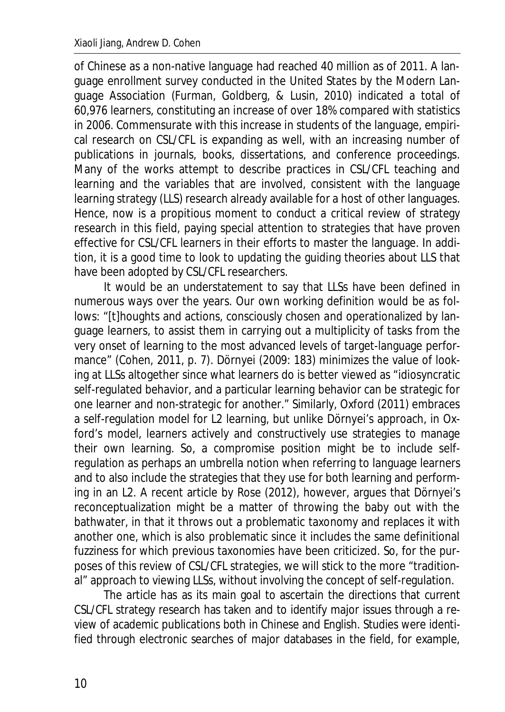of Chinese as a non-native language had reached 40 million as of 2011. A language enrollment survey conducted in the United States by the Modern Language Association (Furman, Goldberg, & Lusin, 2010) indicated a total of 60,976 learners, constituting an increase of over 18% compared with statistics in 2006. Commensurate with this increase in students of the language, empirical research on CSL/CFL is expanding as well, with an increasing number of publications in journals, books, dissertations, and conference proceedings. Many of the works attempt to describe practices in CSL/CFL teaching and learning and the variables that are involved, consistent with the language learning strategy (LLS) research already available for a host of other languages. Hence, now is a propitious moment to conduct a critical review of strategy research in this field, paying special attention to strategies that have proven effective for CSL/CFL learners in their efforts to master the language. In addition, it is a good time to look to updating the guiding theories about LLS that have been adopted by CSL/CFL researchers.

It would be an understatement to say that LLSs have been defined in numerous ways over the years. Our own working definition would be as follows: "[t]houghts and actions, consciously chosen and operationalized by language learners, to assist them in carrying out a multiplicity of tasks from the very onset of learning to the most advanced levels of target-language performance" (Cohen, 2011, p. 7)*.* Dörnyei (2009: 183) minimizes the value of looking at LLSs altogether since what learners do is better viewed as "idiosyncratic self-regulated behavior, and a particular learning behavior can be strategic for one learner and non-strategic for another." Similarly, Oxford (2011) embraces a self-regulation model for L2 learning, but unlike Dörnyei's approach, in Oxford's model, learners actively and constructively use strategies to manage their own learning. So, a compromise position might be to include selfregulation as perhaps an umbrella notion when referring to language learners and to also include the strategies that they use for both learning and performing in an L2. A recent article by Rose (2012), however, argues that Dörnyei's reconceptualization might be a matter of throwing the baby out with the bathwater, in that it throws out a problematic taxonomy and replaces it with another one, which is also problematic since it includes the same definitional fuzziness for which previous taxonomies have been criticized. So, for the purposes of this review of CSL/CFL strategies, we will stick to the more "traditional" approach to viewing LLSs, without involving the concept of self-regulation.

The article has as its main goal to ascertain the directions that current CSL/CFL strategy research has taken and to identify major issues through a review of academic publications both in Chinese and English. Studies were identified through electronic searches of major databases in the field, for example,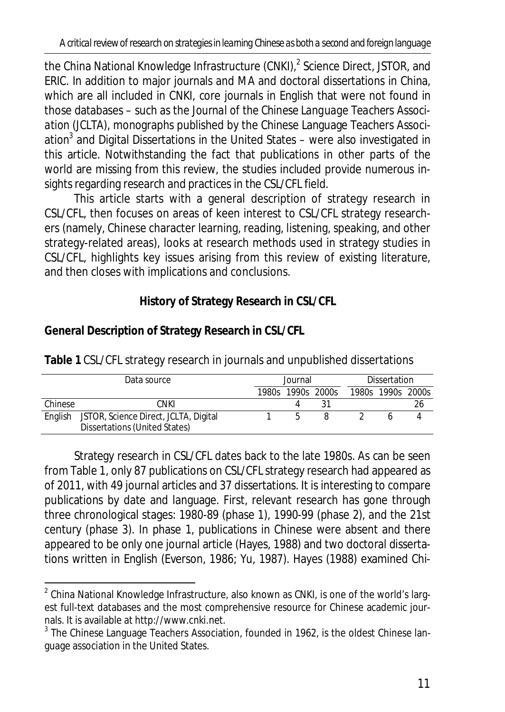*A critical review of research on strategies in learning Chinese as both a second and foreign language*

the China National Knowledge Infrastructure (CNKI),<sup>2</sup> Science Direct, JSTOR, and ERIC. In addition to major journals and MA and doctoral dissertations in China, which are all included in CNKI, core journals in English that were not found in those databases – such as the *Journal of the Chinese Language Teachers Association* (*JCLTA*), monographs published by the Chinese Language Teachers Association<sup>3</sup> and Digital Dissertations in the United States – were also investigated in this article. Notwithstanding the fact that publications in other parts of the world are missing from this review, the studies included provide numerous insights regarding research and practices in the CSL/CFL field.

This article starts with a general description of strategy research in CSL/CFL, then focuses on areas of keen interest to CSL/CFL strategy researchers (namely, Chinese character learning, reading, listening, speaking, and other strategy-related areas), looks at research methods used in strategy studies in CSL/CFL, highlights key issues arising from this review of existing literature, and then closes with implications and conclusions.

**History of Strategy Research in CSL/CFL** 

| <b>Dissertation</b> |  |
|---------------------|--|
| 1980s 1990s 2000s   |  |
|                     |  |
|                     |  |
|                     |  |

**General Description of Strategy Research in CSL/CFL** 

**Table 1** CSL/CFL strategy research in journals and unpublished dissertations

Strategy research in CSL/CFL dates back to the late 1980s. As can be seen from Table 1, only 87 publications on CSL/CFL strategy research had appeared as of 2011, with 49 journal articles and 37 dissertations. It is interesting to compare publications by date and language. First, relevant research has gone through three chronological stages: 1980-89 (phase 1), 1990-99 (phase 2), and the 21st century (phase 3). In phase 1, publications in Chinese were absent and there appeared to be only one journal article (Hayes, 1988) and two doctoral dissertations written in English (Everson, 1986; Yu, 1987). Hayes (1988) examined Chi-

l  $^2$  China National Knowledge Infrastructure, also known as CNKI, is one of the world's largest full-text databases and the most comprehensive resource for Chinese academic journals. It is available at http://www.cnki.net.

 $3$  The Chinese Language Teachers Association, founded in 1962, is the oldest Chinese language association in the United States.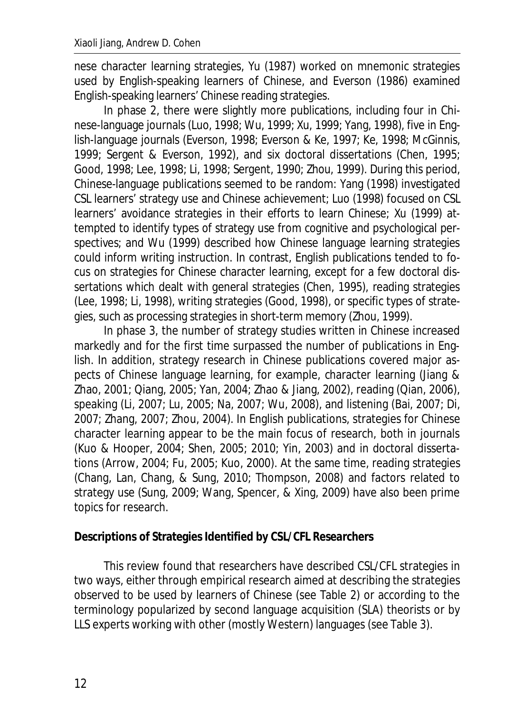nese character learning strategies, Yu (1987) worked on mnemonic strategies used by English-speaking learners of Chinese, and Everson (1986) examined English-speaking learners' Chinese reading strategies.

In phase 2, there were slightly more publications, including four in Chinese-language journals (Luo, 1998; Wu, 1999; Xu, 1999; Yang, 1998), five in English-language journals (Everson, 1998; Everson & Ke, 1997; Ke, 1998; McGinnis, 1999; Sergent & Everson, 1992), and six doctoral dissertations (Chen, 1995; Good, 1998; Lee, 1998; Li, 1998; Sergent, 1990; Zhou, 1999). During this period, Chinese-language publications seemed to be random: Yang (1998) investigated CSL learners' strategy use and Chinese achievement; Luo (1998) focused on CSL learners' avoidance strategies in their efforts to learn Chinese; Xu (1999) attempted to identify types of strategy use from cognitive and psychological perspectives; and Wu (1999) described how Chinese language learning strategies could inform writing instruction. In contrast, English publications tended to focus on strategies for Chinese character learning, except for a few doctoral dissertations which dealt with general strategies (Chen, 1995), reading strategies (Lee, 1998; Li, 1998), writing strategies (Good, 1998), or specific types of strategies, such as processing strategies in short-term memory (Zhou, 1999).

In phase 3, the number of strategy studies written in Chinese increased markedly and for the first time surpassed the number of publications in English. In addition, strategy research in Chinese publications covered major aspects of Chinese language learning, for example, character learning (Jiang & Zhao, 2001; Qiang, 2005; Yan, 2004; Zhao & Jiang, 2002), reading (Qian, 2006), speaking (Li, 2007; Lu, 2005; Na, 2007; Wu, 2008), and listening (Bai, 2007; Di, 2007; Zhang, 2007; Zhou, 2004). In English publications, strategies for Chinese character learning appear to be the main focus of research, both in journals (Kuo & Hooper, 2004; Shen, 2005; 2010; Yin, 2003) and in doctoral dissertations (Arrow, 2004; Fu, 2005; Kuo, 2000). At the same time, reading strategies (Chang, Lan, Chang, & Sung, 2010; Thompson, 2008) and factors related to strategy use (Sung, 2009; Wang, Spencer, & Xing, 2009) have also been prime topics for research.

## **Descriptions of Strategies Identified by CSL/CFL Researchers**

This review found that researchers have described CSL/CFL strategies in two ways, either through empirical research aimed at describing the strategies observed to be used by learners of Chinese (see Table 2) or according to the terminology popularized by second language acquisition (SLA) theorists or by LLS experts working with other (mostly Western) languages (see Table 3).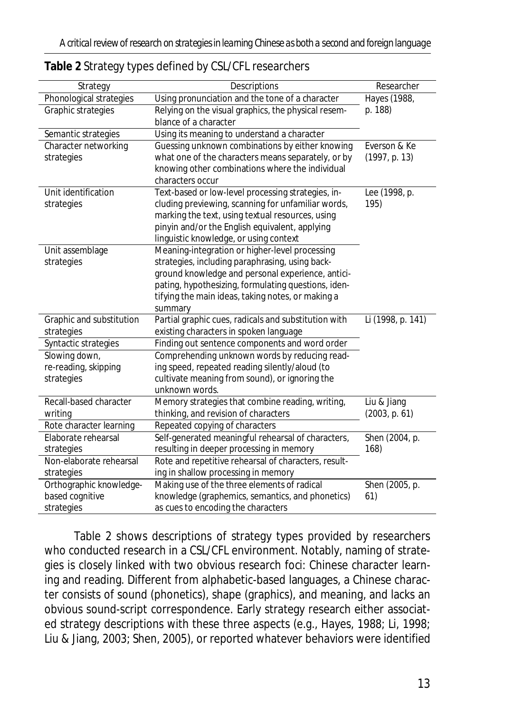| Strategy                 | Descriptions                                         | Researcher        |
|--------------------------|------------------------------------------------------|-------------------|
| Phonological strategies  | Using pronunciation and the tone of a character      | Hayes (1988,      |
| Graphic strategies       | Relying on the visual graphics, the physical resem-  | p. 188)           |
|                          | blance of a character                                |                   |
| Semantic strategies      | Using its meaning to understand a character          |                   |
| Character networking     | Guessing unknown combinations by either knowing      | Everson & Ke      |
| strategies               | what one of the characters means separately, or by   | (1997, p. 13)     |
|                          | knowing other combinations where the individual      |                   |
|                          | characters occur                                     |                   |
| Unit identification      | Text-based or low-level processing strategies, in-   | Lee (1998, p.     |
| strategies               | cluding previewing, scanning for unfamiliar words,   | 195)              |
|                          | marking the text, using textual resources, using     |                   |
|                          | pinyin and/or the English equivalent, applying       |                   |
|                          | linguistic knowledge, or using context               |                   |
| Unit assemblage          | Meaning-integration or higher-level processing       |                   |
| strategies               | strategies, including paraphrasing, using back-      |                   |
|                          | ground knowledge and personal experience, antici-    |                   |
|                          | pating, hypothesizing, formulating questions, iden-  |                   |
|                          | tifying the main ideas, taking notes, or making a    |                   |
|                          | summary                                              |                   |
| Graphic and substitution | Partial graphic cues, radicals and substitution with | Li (1998, p. 141) |
| strategies               | existing characters in spoken language               |                   |
| Syntactic strategies     | Finding out sentence components and word order       |                   |
| Slowing down,            | Comprehending unknown words by reducing read-        |                   |
| re-reading, skipping     | ing speed, repeated reading silently/aloud (to       |                   |
| strategies               | cultivate meaning from sound), or ignoring the       |                   |
|                          | unknown words.                                       |                   |
| Recall-based character   | Memory strategies that combine reading, writing,     | Liu & Jiang       |
| writing                  | thinking, and revision of characters                 | (2003, p. 61)     |
| Rote character learning  | Repeated copying of characters                       |                   |
| Elaborate rehearsal      | Self-generated meaningful rehearsal of characters,   | Shen (2004, p.    |
| strategies               | resulting in deeper processing in memory             | 168)              |
| Non-elaborate rehearsal  | Rote and repetitive rehearsal of characters, result- |                   |
| strategies               | ing in shallow processing in memory                  |                   |
| Orthographic knowledge-  | Making use of the three elements of radical          | Shen (2005, p.    |
| based cognitive          | knowledge (graphemics, semantics, and phonetics)     | 61)               |
| strategies               | as cues to encoding the characters                   |                   |

#### **Table 2** Strategy types defined by CSL/CFL researchers

Table 2 shows descriptions of strategy types provided by researchers who conducted research in a CSL/CFL environment. Notably, naming of strategies is closely linked with two obvious research foci: Chinese character learning and reading. Different from alphabetic-based languages, a Chinese character consists of sound (phonetics), shape (graphics), and meaning, and lacks an obvious sound-script correspondence. Early strategy research either associated strategy descriptions with these three aspects (e.g., Hayes, 1988; Li, 1998; Liu & Jiang, 2003; Shen, 2005), or reported whatever behaviors were identified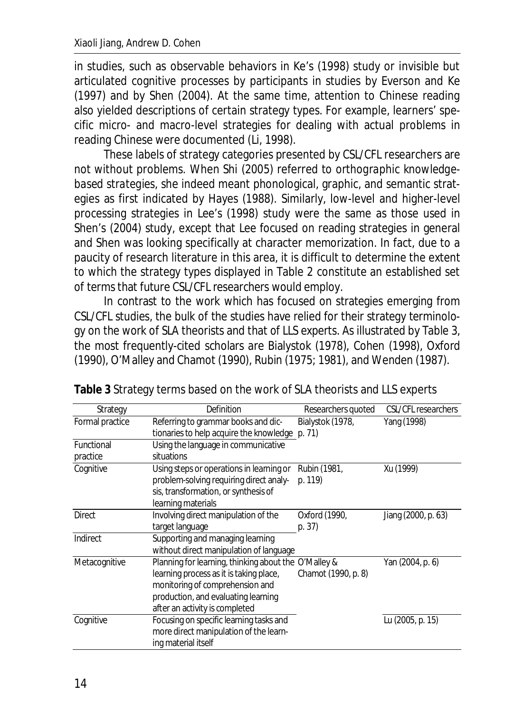in studies, such as observable behaviors in Ke's (1998) study or invisible but articulated cognitive processes by participants in studies by Everson and Ke (1997) and by Shen (2004). At the same time, attention to Chinese reading also yielded descriptions of certain strategy types. For example, learners' specific micro- and macro-level strategies for dealing with actual problems in reading Chinese were documented (Li, 1998).

These labels of strategy categories presented by CSL/CFL researchers are not without problems. When Shi (2005) referred to *orthographic knowledgebased strategies*, she indeed meant phonological, graphic, and semantic strategies as first indicated by Hayes (1988). Similarly, low-level and higher-level processing strategies in Lee's (1998) study were the same as those used in Shen's (2004) study, except that Lee focused on reading strategies in general and Shen was looking specifically at character memorization. In fact, due to a paucity of research literature in this area, it is difficult to determine the extent to which the strategy types displayed in Table 2 constitute an established set of terms that future CSL/CFL researchers would employ.

In contrast to the work which has focused on strategies emerging from CSL/CFL studies, the bulk of the studies have relied for their strategy terminology on the work of SLA theorists and that of LLS experts. As illustrated by Table 3, the most frequently-cited scholars are Bialystok (1978), Cohen (1998), Oxford (1990), O'Malley and Chamot (1990), Rubin (1975; 1981), and Wenden (1987).

| Strategy        | Definition                                           | Researchers quoted  | CSL/CFL researchers |
|-----------------|------------------------------------------------------|---------------------|---------------------|
| Formal practice | Referring to grammar books and dic-                  | Bialystok (1978,    | Yang (1998)         |
|                 | tionaries to help acquire the knowledge p. 71)       |                     |                     |
| Functional      | Using the language in communicative                  |                     |                     |
| practice        | situations                                           |                     |                     |
| Cognitive       | Using steps or operations in learning or             | Rubin (1981,        | Xu (1999)           |
|                 | problem-solving requiring direct analy-              | p. 119)             |                     |
|                 | sis, transformation, or synthesis of                 |                     |                     |
|                 | learning materials                                   |                     |                     |
| <b>Direct</b>   | Involving direct manipulation of the                 | Oxford (1990,       | Jiang (2000, p. 63) |
|                 | target language                                      | p. 37               |                     |
| Indirect        | Supporting and managing learning                     |                     |                     |
|                 | without direct manipulation of language              |                     |                     |
| Metacognitive   | Planning for learning, thinking about the O'Malley & |                     | Yan (2004, p. 6)    |
|                 | learning process as it is taking place,              | Chamot (1990, p. 8) |                     |
|                 | monitoring of comprehension and                      |                     |                     |
|                 | production, and evaluating learning                  |                     |                     |
|                 | after an activity is completed                       |                     |                     |
| Cognitive       | Focusing on specific learning tasks and              |                     | Lu (2005, p. 15)    |
|                 | more direct manipulation of the learn-               |                     |                     |
|                 | ing material itself                                  |                     |                     |

**Table 3** Strategy terms based on the work of SLA theorists and LLS experts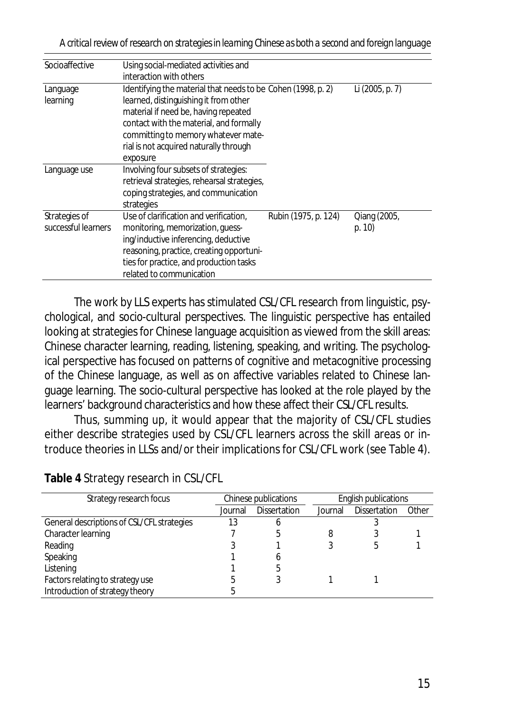*A critical review of research on strategies in learning Chinese as both a second and foreign language*

| Socioaffective      | Using social-mediated activities and                                            |                      |              |  |
|---------------------|---------------------------------------------------------------------------------|----------------------|--------------|--|
|                     |                                                                                 |                      |              |  |
|                     | interaction with others                                                         |                      |              |  |
| Language            | Identifying the material that needs to be Cohen (1998, p. 2)<br>Li (2005, p. 7) |                      |              |  |
| learning            | learned, distinguishing it from other                                           |                      |              |  |
|                     | material if need be, having repeated                                            |                      |              |  |
|                     | contact with the material, and formally                                         |                      |              |  |
|                     | committing to memory whatever mate-                                             |                      |              |  |
|                     | rial is not acquired naturally through                                          |                      |              |  |
|                     | exposure                                                                        |                      |              |  |
| Language use        | Involving four subsets of strategies:                                           |                      |              |  |
|                     | retrieval strategies, rehearsal strategies,                                     |                      |              |  |
|                     | coping strategies, and communication                                            |                      |              |  |
|                     | strategies                                                                      |                      |              |  |
| Strategies of       | Use of clarification and verification,                                          | Rubin (1975, p. 124) | Qiang (2005, |  |
| successful learners | monitoring, memorization, quess-                                                |                      | p. 10        |  |
|                     | ing/inductive inferencing, deductive                                            |                      |              |  |
|                     | reasoning, practice, creating opportuni-                                        |                      |              |  |
|                     | ties for practice, and production tasks                                         |                      |              |  |
|                     | related to communication                                                        |                      |              |  |

The work by LLS experts has stimulated CSL/CFL research from linguistic, psychological, and socio-cultural perspectives. The linguistic perspective has entailed looking at strategies for Chinese language acquisition as viewed from the skill areas: Chinese character learning, reading, listening, speaking, and writing. The psychological perspective has focused on patterns of cognitive and metacognitive processing of the Chinese language, as well as on affective variables related to Chinese language learning. The socio-cultural perspective has looked at the role played by the learners' background characteristics and how these affect their CSL/CFL results.

Thus, summing up, it would appear that the majority of CSL/CFL studies either describe strategies used by CSL/CFL learners across the skill areas or introduce theories in LLSs and/or their implications for CSL/CFL work (see Table 4).

| Strategy research focus                    | Chinese publications |                     | English publications |                     |       |
|--------------------------------------------|----------------------|---------------------|----------------------|---------------------|-------|
|                                            | Journal              | <b>Dissertation</b> | Journal              | <b>Dissertation</b> | Other |
| General descriptions of CSL/CFL strategies | 13                   |                     |                      |                     |       |
| Character learning                         |                      |                     |                      |                     |       |
| Reading                                    |                      |                     |                      | 5                   |       |
| Speaking                                   |                      |                     |                      |                     |       |
| Listening                                  |                      |                     |                      |                     |       |
| Factors relating to strategy use           |                      |                     |                      |                     |       |
| Introduction of strategy theory            |                      |                     |                      |                     |       |

**Table 4** Strategy research in CSL/CFL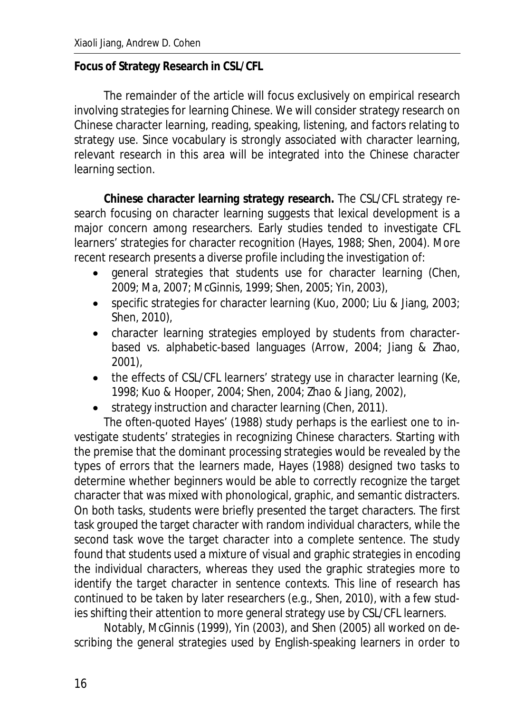#### **Focus of Strategy Research in CSL/CFL**

The remainder of the article will focus exclusively on empirical research involving strategies for learning Chinese. We will consider strategy research on Chinese character learning, reading, speaking, listening, and factors relating to strategy use. Since vocabulary is strongly associated with character learning, relevant research in this area will be integrated into the Chinese character learning section.

**Chinese character learning strategy research.** The CSL/CFL strategy research focusing on character learning suggests that lexical development is a major concern among researchers. Early studies tended to investigate CFL learners' strategies for character recognition (Hayes, 1988; Shen, 2004). More recent research presents a diverse profile including the investigation of:

- general strategies that students use for character learning (Chen, 2009; Ma, 2007; McGinnis, 1999; Shen, 2005; Yin, 2003),
- **•** specific strategies for character learning (Kuo, 2000; Liu & Jiang, 2003; Shen, 2010),
- character learning strategies employed by students from characterbased vs. alphabetic-based languages (Arrow, 2004; Jiang & Zhao, 2001),
- $\bullet$  the effects of CSL/CFL learners' strategy use in character learning (Ke, 1998; Kuo & Hooper, 2004; Shen, 2004; Zhao & Jiang, 2002),
- strategy instruction and character learning (Chen, 2011).

The often-quoted Hayes' (1988) study perhaps is the earliest one to investigate students' strategies in recognizing Chinese characters. Starting with the premise that the dominant processing strategies would be revealed by the types of errors that the learners made, Hayes (1988) designed two tasks to determine whether beginners would be able to correctly recognize the target character that was mixed with phonological, graphic, and semantic distracters. On both tasks, students were briefly presented the target characters. The first task grouped the target character with random individual characters, while the second task wove the target character into a complete sentence. The study found that students used a mixture of visual and graphic strategies in encoding the individual characters, whereas they used the graphic strategies more to identify the target character in sentence contexts. This line of research has continued to be taken by later researchers (e.g., Shen, 2010), with a few studies shifting their attention to more general strategy use by CSL/CFL learners.

Notably, McGinnis (1999), Yin (2003), and Shen (2005) all worked on describing the general strategies used by English-speaking learners in order to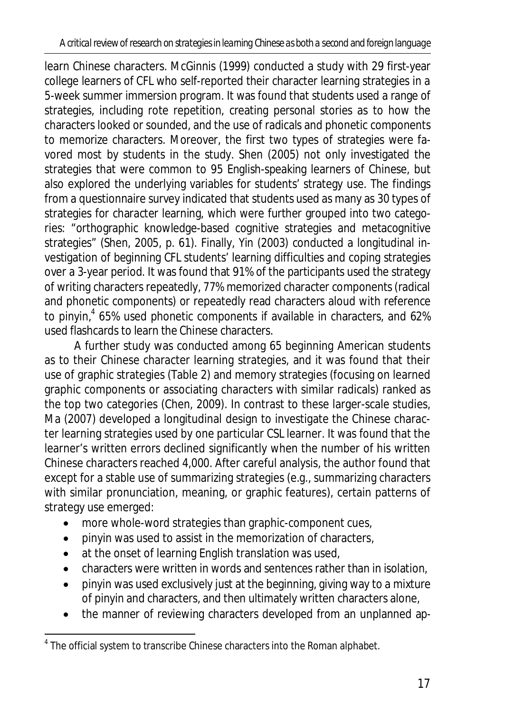learn Chinese characters. McGinnis (1999) conducted a study with 29 first-year college learners of CFL who self-reported their character learning strategies in a 5-week summer immersion program. It was found that students used a range of strategies, including rote repetition, creating personal stories as to how the characters looked or sounded, and the use of radicals and phonetic components to memorize characters. Moreover, the first two types of strategies were favored most by students in the study. Shen (2005) not only investigated the strategies that were common to 95 English-speaking learners of Chinese, but also explored the underlying variables for students' strategy use. The findings from a questionnaire survey indicated that students used as many as 30 types of strategies for character learning, which were further grouped into two categories: "orthographic knowledge-based cognitive strategies and metacognitive strategies" (Shen, 2005, p. 61). Finally, Yin (2003) conducted a longitudinal investigation of beginning CFL students' learning difficulties and coping strategies over a 3-year period. It was found that 91% of the participants used the strategy of writing characters repeatedly, 77% memorized character components (radical and phonetic components) or repeatedly read characters aloud with reference to pinyin,<sup>4</sup> 65% used phonetic components if available in characters, and 62% used flashcards to learn the Chinese characters.

A further study was conducted among 65 beginning American students as to their Chinese character learning strategies, and it was found that their use of graphic strategies (Table 2) and memory strategies (focusing on learned graphic components or associating characters with similar radicals) ranked as the top two categories (Chen, 2009). In contrast to these larger-scale studies, Ma (2007) developed a longitudinal design to investigate the Chinese character learning strategies used by one particular CSL learner. It was found that the learner's written errors declined significantly when the number of his written Chinese characters reached 4,000. After careful analysis, the author found that except for a stable use of summarizing strategies (e.g., summarizing characters with similar pronunciation, meaning, or graphic features), certain patterns of strategy use emerged:

- more whole-word strategies than graphic-component cues,
- $\bullet$  pinyin was used to assist in the memorization of characters,
- at the onset of learning English translation was used,
- $\bullet$  characters were written in words and sentences rather than in isolation,
- pinyin was used exclusively just at the beginning, giving way to a mixture of pinyin and characters, and then ultimately written characters alone,
- the manner of reviewing characters developed from an unplanned ap-

 $\overline{\phantom{a}}$ 

<sup>&</sup>lt;sup>4</sup> The official system to transcribe Chinese characters into the Roman alphabet.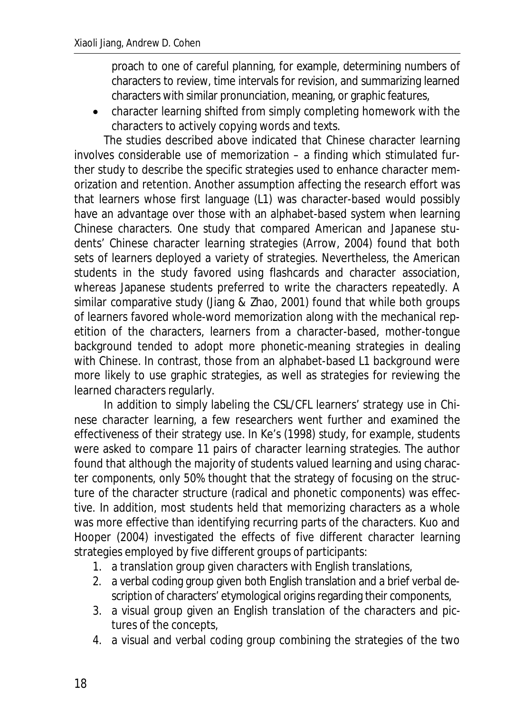proach to one of careful planning, for example, determining numbers of characters to review, time intervals for revision, and summarizing learned characters with similar pronunciation, meaning, or graphic features,

x character learning shifted from simply completing homework with the characters to actively copying words and texts.

The studies described above indicated that Chinese character learning involves considerable use of memorization – a finding which stimulated further study to describe the specific strategies used to enhance character memorization and retention. Another assumption affecting the research effort was that learners whose first language (L1) was character-based would possibly have an advantage over those with an alphabet-based system when learning Chinese characters. One study that compared American and Japanese students' Chinese character learning strategies (Arrow, 2004) found that both sets of learners deployed a variety of strategies. Nevertheless, the American students in the study favored using flashcards and character association, whereas Japanese students preferred to write the characters repeatedly. A similar comparative study (Jiang & Zhao, 2001) found that while both groups of learners favored whole-word memorization along with the mechanical repetition of the characters, learners from a character-based, mother-tongue background tended to adopt more phonetic-meaning strategies in dealing with Chinese. In contrast, those from an alphabet-based L1 background were more likely to use graphic strategies, as well as strategies for reviewing the learned characters regularly.

In addition to simply labeling the CSL/CFL learners' strategy use in Chinese character learning, a few researchers went further and examined the effectiveness of their strategy use. In Ke's (1998) study, for example, students were asked to compare 11 pairs of character learning strategies. The author found that although the majority of students valued learning and using character components, only 50% thought that the strategy of focusing on the structure of the character structure (radical and phonetic components) was effective. In addition, most students held that memorizing characters as a whole was more effective than identifying recurring parts of the characters. Kuo and Hooper (2004) investigated the effects of five different character learning strategies employed by five different groups of participants:

- 1. a translation group given characters with English translations,
- 2. a verbal coding group given both English translation and a brief verbal description of characters' etymological origins regarding their components,
- 3. a visual group given an English translation of the characters and pictures of the concepts,
- 4. a visual and verbal coding group combining the strategies of the two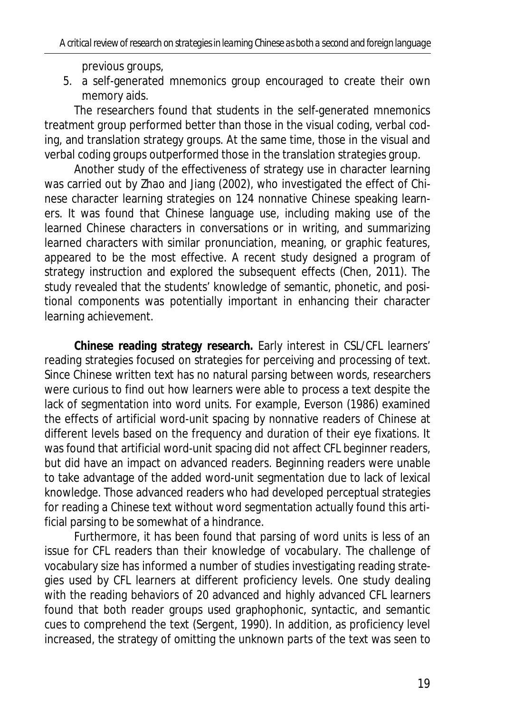previous groups,

5. a self-generated mnemonics group encouraged to create their own memory aids.

The researchers found that students in the self-generated mnemonics treatment group performed better than those in the visual coding, verbal coding, and translation strategy groups. At the same time, those in the visual and verbal coding groups outperformed those in the translation strategies group.

Another study of the effectiveness of strategy use in character learning was carried out by Zhao and Jiang (2002), who investigated the effect of Chinese character learning strategies on 124 nonnative Chinese speaking learners. It was found that Chinese language use, including making use of the learned Chinese characters in conversations or in writing, and summarizing learned characters with similar pronunciation, meaning, or graphic features, appeared to be the most effective. A recent study designed a program of strategy instruction and explored the subsequent effects (Chen, 2011). The study revealed that the students' knowledge of semantic, phonetic, and positional components was potentially important in enhancing their character learning achievement.

**Chinese reading strategy research.** Early interest in CSL/CFL learners' reading strategies focused on strategies for perceiving and processing of text. Since Chinese written text has no natural parsing between words, researchers were curious to find out how learners were able to process a text despite the lack of segmentation into word units. For example, Everson (1986) examined the effects of artificial word-unit spacing by nonnative readers of Chinese at different levels based on the frequency and duration of their eye fixations. It was found that artificial word-unit spacing did not affect CFL beginner readers, but did have an impact on advanced readers. Beginning readers were unable to take advantage of the added word-unit segmentation due to lack of lexical knowledge. Those advanced readers who had developed perceptual strategies for reading a Chinese text without word segmentation actually found this artificial parsing to be somewhat of a hindrance.

Furthermore, it has been found that parsing of word units is less of an issue for CFL readers than their knowledge of vocabulary. The challenge of vocabulary size has informed a number of studies investigating reading strategies used by CFL learners at different proficiency levels. One study dealing with the reading behaviors of 20 advanced and highly advanced CFL learners found that both reader groups used graphophonic, syntactic, and semantic cues to comprehend the text (Sergent, 1990). In addition, as proficiency level increased, the strategy of omitting the unknown parts of the text was seen to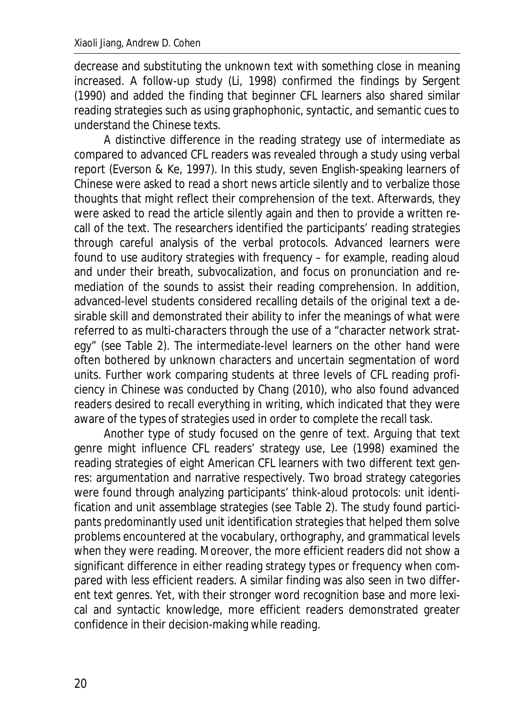decrease and substituting the unknown text with something close in meaning increased. A follow-up study (Li, 1998) confirmed the findings by Sergent (1990) and added the finding that beginner CFL learners also shared similar reading strategies such as using graphophonic, syntactic, and semantic cues to understand the Chinese texts.

A distinctive difference in the reading strategy use of intermediate as compared to advanced CFL readers was revealed through a study using verbal report (Everson & Ke, 1997). In this study, seven English-speaking learners of Chinese were asked to read a short news article silently and to verbalize those thoughts that might reflect their comprehension of the text. Afterwards, they were asked to read the article silently again and then to provide a written recall of the text. The researchers identified the participants' reading strategies through careful analysis of the verbal protocols. Advanced learners were found to use auditory strategies with frequency – for example, reading aloud and under their breath, subvocalization, and focus on pronunciation and remediation of the sounds to assist their reading comprehension. In addition, advanced-level students considered recalling details of the original text a desirable skill and demonstrated their ability to infer the meanings of what were referred to as *multi-characters* through the use of a "character network strategy" (see Table 2). The intermediate-level learners on the other hand were often bothered by unknown characters and uncertain segmentation of word units. Further work comparing students at three levels of CFL reading proficiency in Chinese was conducted by Chang (2010), who also found advanced readers desired to recall everything in writing, which indicated that they were aware of the types of strategies used in order to complete the recall task.

Another type of study focused on the genre of text. Arguing that text genre might influence CFL readers' strategy use, Lee (1998) examined the reading strategies of eight American CFL learners with two different text genres: argumentation and narrative respectively. Two broad strategy categories were found through analyzing participants' think-aloud protocols: unit identification and unit assemblage strategies (see Table 2). The study found participants predominantly used unit identification strategies that helped them solve problems encountered at the vocabulary, orthography, and grammatical levels when they were reading. Moreover, the more efficient readers did not show a significant difference in either reading strategy types or frequency when compared with less efficient readers. A similar finding was also seen in two different text genres. Yet, with their stronger word recognition base and more lexical and syntactic knowledge, more efficient readers demonstrated greater confidence in their decision-making while reading.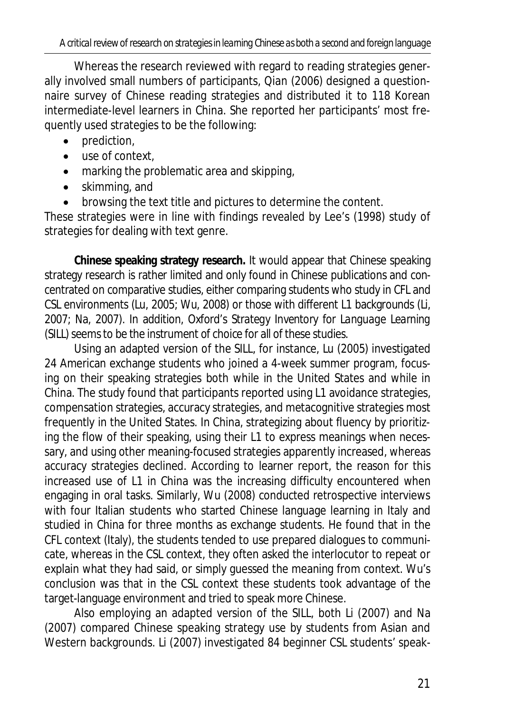Whereas the research reviewed with regard to reading strategies generally involved small numbers of participants, Qian (2006) designed a questionnaire survey of Chinese reading strategies and distributed it to 118 Korean intermediate-level learners in China. She reported her participants' most frequently used strategies to be the following:

- $\bullet$  prediction,
- $\bullet$  use of context.
- $\bullet$  marking the problematic area and skipping,
- $\bullet$  skimming, and
- browsing the text title and pictures to determine the content.

These strategies were in line with findings revealed by Lee's (1998) study of strategies for dealing with text genre.

**Chinese speaking strategy research.** It would appear that Chinese speaking strategy research is rather limited and only found in Chinese publications and concentrated on comparative studies, either comparing students who study in CFL and CSL environments (Lu, 2005; Wu, 2008) or those with different L1 backgrounds (Li, 2007; Na, 2007). In addition, Oxford's *Strategy Inventory for Language Learning*  (SILL) seems to be the instrument of choice for all of these studies.

Using an adapted version of the SILL, for instance, Lu (2005) investigated 24 American exchange students who joined a 4-week summer program, focusing on their speaking strategies both while in the United States and while in China. The study found that participants reported using L1 avoidance strategies, compensation strategies, accuracy strategies, and metacognitive strategies most frequently in the United States. In China, strategizing about fluency by prioritizing the flow of their speaking, using their L1 to express meanings when necessary, and using other meaning-focused strategies apparently increased, whereas accuracy strategies declined. According to learner report, the reason for this increased use of L1 in China was the increasing difficulty encountered when engaging in oral tasks. Similarly, Wu (2008) conducted retrospective interviews with four Italian students who started Chinese language learning in Italy and studied in China for three months as exchange students. He found that in the CFL context (Italy), the students tended to use prepared dialogues to communicate, whereas in the CSL context, they often asked the interlocutor to repeat or explain what they had said, or simply guessed the meaning from context. Wu's conclusion was that in the CSL context these students took advantage of the target-language environment and tried to speak more Chinese.

Also employing an adapted version of the SILL, both Li (2007) and Na (2007) compared Chinese speaking strategy use by students from Asian and Western backgrounds. Li (2007) investigated 84 beginner CSL students' speak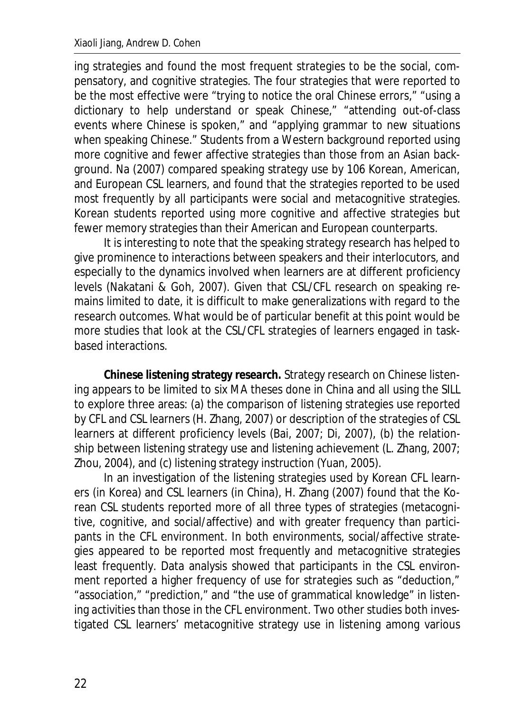ing strategies and found the most frequent strategies to be the social, compensatory, and cognitive strategies. The four strategies that were reported to be the most effective were "trying to notice the oral Chinese errors," "using a dictionary to help understand or speak Chinese," "attending out-of-class events where Chinese is spoken," and "applying grammar to new situations when speaking Chinese." Students from a Western background reported using more cognitive and fewer affective strategies than those from an Asian background. Na (2007) compared speaking strategy use by 106 Korean, American, and European CSL learners, and found that the strategies reported to be used most frequently by all participants were social and metacognitive strategies. Korean students reported using more cognitive and affective strategies but fewer memory strategies than their American and European counterparts.

It is interesting to note that the speaking strategy research has helped to give prominence to interactions between speakers and their interlocutors, and especially to the dynamics involved when learners are at different proficiency levels (Nakatani & Goh, 2007). Given that CSL/CFL research on speaking remains limited to date, it is difficult to make generalizations with regard to the research outcomes. What would be of particular benefit at this point would be more studies that look at the CSL/CFL strategies of learners engaged in taskbased interactions.

**Chinese listening strategy research.** Strategy research on Chinese listening appears to be limited to six MA theses done in China and all using the SILL to explore three areas: (a) the comparison of listening strategies use reported by CFL and CSL learners (H. Zhang, 2007) or description of the strategies of CSL learners at different proficiency levels (Bai, 2007; Di, 2007), (b) the relationship between listening strategy use and listening achievement (L. Zhang, 2007; Zhou, 2004), and (c) listening strategy instruction (Yuan, 2005).

In an investigation of the listening strategies used by Korean CFL learners (in Korea) and CSL learners (in China), H. Zhang (2007) found that the Korean CSL students reported more of all three types of strategies (metacognitive, cognitive, and social/affective) and with greater frequency than participants in the CFL environment. In both environments, social/affective strategies appeared to be reported most frequently and metacognitive strategies least frequently. Data analysis showed that participants in the CSL environment reported a higher frequency of use for strategies such as "deduction," "association," "prediction," and "the use of grammatical knowledge" in listening activities than those in the CFL environment. Two other studies both investigated CSL learners' metacognitive strategy use in listening among various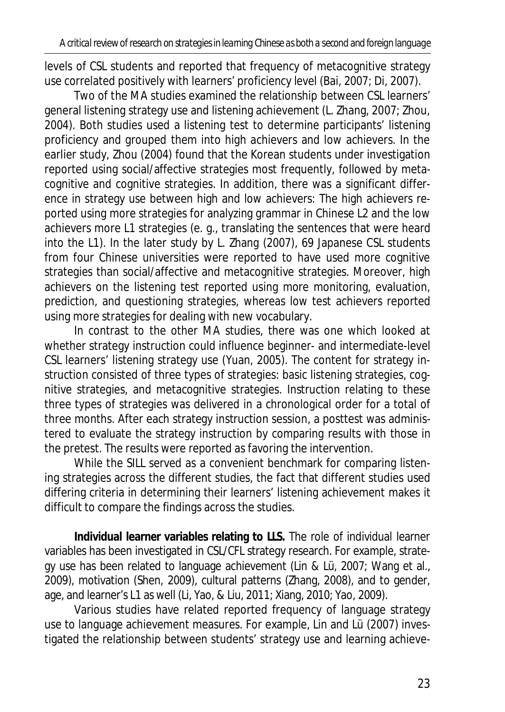levels of CSL students and reported that frequency of metacognitive strategy use correlated positively with learners' proficiency level (Bai, 2007; Di, 2007).

Two of the MA studies examined the relationship between CSL learners' general listening strategy use and listening achievement (L. Zhang, 2007; Zhou, 2004). Both studies used a listening test to determine participants' listening proficiency and grouped them into high achievers and low achievers. In the earlier study, Zhou (2004) found that the Korean students under investigation reported using social/affective strategies most frequently, followed by metacognitive and cognitive strategies. In addition, there was a significant difference in strategy use between high and low achievers: The high achievers reported using more strategies for analyzing grammar in Chinese L2 and the low achievers more L1 strategies (e. g., translating the sentences that were heard into the L1). In the later study by L. Zhang (2007), 69 Japanese CSL students from four Chinese universities were reported to have used more cognitive strategies than social/affective and metacognitive strategies. Moreover, high achievers on the listening test reported using more monitoring, evaluation, prediction, and questioning strategies, whereas low test achievers reported using more strategies for dealing with new vocabulary.

In contrast to the other MA studies, there was one which looked at whether strategy instruction could influence beginner- and intermediate-level CSL learners' listening strategy use (Yuan, 2005). The content for strategy instruction consisted of three types of strategies: basic listening strategies, cognitive strategies, and metacognitive strategies. Instruction relating to these three types of strategies was delivered in a chronological order for a total of three months. After each strategy instruction session, a posttest was administered to evaluate the strategy instruction by comparing results with those in the pretest. The results were reported as favoring the intervention.

While the SILL served as a convenient benchmark for comparing listening strategies across the different studies, the fact that different studies used differing criteria in determining their learners' listening achievement makes it difficult to compare the findings across the studies.

**Individual learner variables relating to LLS.** The role of individual learner variables has been investigated in CSL/CFL strategy research. For example, strategy use has been related to language achievement (Lin & Lü, 2007; Wang et al., 2009), motivation (Shen, 2009), cultural patterns (Zhang, 2008), and to gender, age, and learner's L1 as well (Li, Yao, & Liu, 2011; Xiang, 2010; Yao, 2009).

Various studies have related reported frequency of language strategy use to language achievement measures. For example, Lin and Lü (2007) investigated the relationship between students' strategy use and learning achieve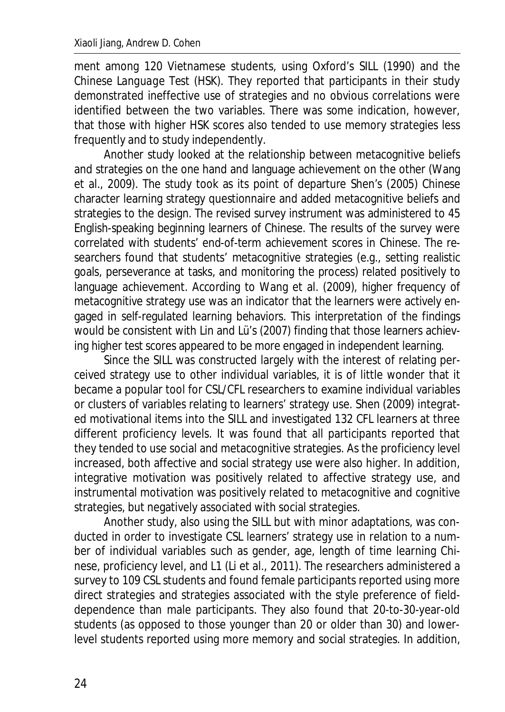ment among 120 Vietnamese students, using Oxford's SILL (1990) and the *Chinese Language Test* (HSK). They reported that participants in their study demonstrated ineffective use of strategies and no obvious correlations were identified between the two variables. There was some indication, however, that those with higher HSK scores also tended to use memory strategies less frequently and to study independently.

Another study looked at the relationship between metacognitive beliefs and strategies on the one hand and language achievement on the other (Wang et al., 2009). The study took as its point of departure Shen's (2005) Chinese character learning strategy questionnaire and added metacognitive beliefs and strategies to the design. The revised survey instrument was administered to 45 English-speaking beginning learners of Chinese. The results of the survey were correlated with students' end-of-term achievement scores in Chinese. The researchers found that students' metacognitive strategies (e.g., setting realistic goals, perseverance at tasks, and monitoring the process) related positively to language achievement. According to Wang et al. (2009), higher frequency of metacognitive strategy use was an indicator that the learners were actively engaged in self-regulated learning behaviors. This interpretation of the findings would be consistent with Lin and Lü's (2007) finding that those learners achieving higher test scores appeared to be more engaged in independent learning.

Since the SILL was constructed largely with the interest of relating perceived strategy use to other individual variables, it is of little wonder that it became a popular tool for CSL/CFL researchers to examine individual variables or clusters of variables relating to learners' strategy use. Shen (2009) integrated motivational items into the SILL and investigated 132 CFL learners at three different proficiency levels. It was found that all participants reported that they tended to use social and metacognitive strategies. As the proficiency level increased, both affective and social strategy use were also higher. In addition, integrative motivation was positively related to affective strategy use, and instrumental motivation was positively related to metacognitive and cognitive strategies, but negatively associated with social strategies.

Another study, also using the SILL but with minor adaptations, was conducted in order to investigate CSL learners' strategy use in relation to a number of individual variables such as gender, age, length of time learning Chinese, proficiency level, and L1 (Li et al., 2011). The researchers administered a survey to 109 CSL students and found female participants reported using more direct strategies and strategies associated with the style preference of fielddependence than male participants. They also found that 20-to-30-year-old students (as opposed to those younger than 20 or older than 30) and lowerlevel students reported using more memory and social strategies. In addition,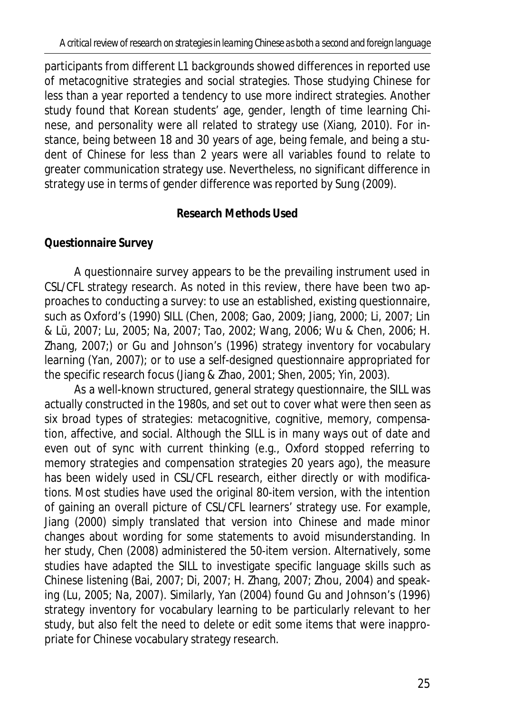participants from different L1 backgrounds showed differences in reported use of metacognitive strategies and social strategies. Those studying Chinese for less than a year reported a tendency to use more indirect strategies. Another study found that Korean students' age, gender, length of time learning Chinese, and personality were all related to strategy use (Xiang, 2010). For instance, being between 18 and 30 years of age, being female, and being a student of Chinese for less than 2 years were all variables found to relate to greater communication strategy use. Nevertheless, no significant difference in strategy use in terms of gender difference was reported by Sung (2009).

## **Research Methods Used**

# **Questionnaire Survey**

A questionnaire survey appears to be the prevailing instrument used in CSL/CFL strategy research. As noted in this review, there have been two approaches to conducting a survey: to use an established, existing questionnaire, such as Oxford's (1990) SILL (Chen, 2008; Gao, 2009; Jiang, 2000; Li, 2007; Lin & Lü, 2007; Lu, 2005; Na, 2007; Tao, 2002; Wang, 2006; Wu & Chen, 2006; H. Zhang, 2007;) or Gu and Johnson's (1996) strategy inventory for vocabulary learning (Yan, 2007); or to use a self-designed questionnaire appropriated for the specific research focus (Jiang & Zhao, 2001; Shen, 2005; Yin, 2003).

As a well-known structured, general strategy questionnaire, the SILL was actually constructed in the 1980s, and set out to cover what were then seen as six broad types of strategies: metacognitive, cognitive, memory, compensation, affective, and social. Although the SILL is in many ways out of date and even out of sync with current thinking (e.g., Oxford stopped referring to memory strategies and compensation strategies 20 years ago), the measure has been widely used in CSL/CFL research, either directly or with modifications. Most studies have used the original 80-item version, with the intention of gaining an overall picture of CSL/CFL learners' strategy use. For example, Jiang (2000) simply translated that version into Chinese and made minor changes about wording for some statements to avoid misunderstanding. In her study, Chen (2008) administered the 50-item version. Alternatively, some studies have adapted the SILL to investigate specific language skills such as Chinese listening (Bai, 2007; Di, 2007; H. Zhang, 2007; Zhou, 2004) and speaking (Lu, 2005; Na, 2007). Similarly, Yan (2004) found Gu and Johnson's (1996) strategy inventory for vocabulary learning to be particularly relevant to her study, but also felt the need to delete or edit some items that were inappropriate for Chinese vocabulary strategy research.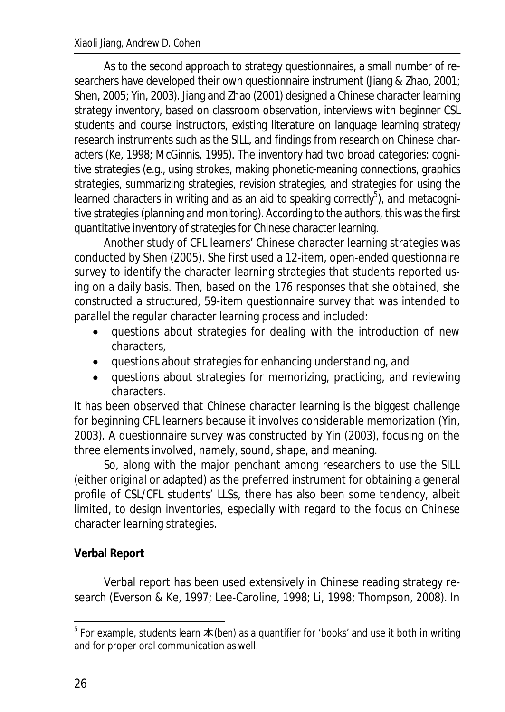As to the second approach to strategy questionnaires, a small number of researchers have developed their own questionnaire instrument (Jiang & Zhao, 2001; Shen, 2005; Yin, 2003). Jiang and Zhao (2001) designed a Chinese character learning strategy inventory, based on classroom observation, interviews with beginner CSL students and course instructors, existing literature on language learning strategy research instruments such as the SILL, and findings from research on Chinese characters (Ke, 1998; McGinnis, 1995). The inventory had two broad categories: cognitive strategies (e.g., using strokes, making phonetic-meaning connections, graphics strategies, summarizing strategies, revision strategies, and strategies for using the learned characters in writing and as an aid to speaking correctly<sup>5</sup>), and metacognitive strategies (planning and monitoring). According to the authors, this was the first quantitative inventory of strategies for Chinese character learning.

Another study of CFL learners' Chinese character learning strategies was conducted by Shen (2005). She first used a 12-item, open-ended questionnaire survey to identify the character learning strategies that students reported using on a daily basis. Then, based on the 176 responses that she obtained, she constructed a structured, 59-item questionnaire survey that was intended to parallel the regular character learning process and included:

- guestions about strategies for dealing with the introduction of new characters,
- questions about strategies for enhancing understanding, and
- questions about strategies for memorizing, practicing, and reviewing characters.

It has been observed that Chinese character learning is the biggest challenge for beginning CFL learners because it involves considerable memorization (Yin, 2003). A questionnaire survey was constructed by Yin (2003), focusing on the three elements involved, namely, sound, shape, and meaning.

So, along with the major penchant among researchers to use the SILL (either original or adapted) as the preferred instrument for obtaining a general profile of CSL/CFL students' LLSs, there has also been some tendency, albeit limited, to design inventories, especially with regard to the focus on Chinese character learning strategies.

# **Verbal Report**

Verbal report has been used extensively in Chinese reading strategy research (Everson & Ke, 1997; Lee-Caroline, 1998; Li, 1998; Thompson, 2008). In

 5 For example, students learn ᮏ (*ben*) as a quantifier for 'books' and use it both in writing and for proper oral communication as well.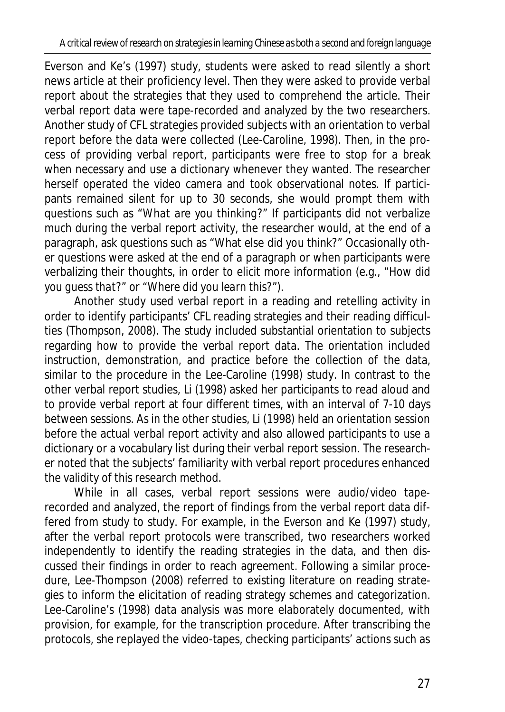Everson and Ke's (1997) study, students were asked to read silently a short news article at their proficiency level. Then they were asked to provide verbal report about the strategies that they used to comprehend the article. Their verbal report data were tape-recorded and analyzed by the two researchers. Another study of CFL strategies provided subjects with an orientation to verbal report before the data were collected (Lee-Caroline, 1998). Then, in the process of providing verbal report, participants were free to stop for a break when necessary and use a dictionary whenever they wanted. The researcher herself operated the video camera and took observational notes. If participants remained silent for up to 30 seconds, she would prompt them with questions such as "*What are you thinking?*" If participants did not verbalize much during the verbal report activity, the researcher would, at the end of a paragraph, ask questions such as "What else did you think?" Occasionally other questions were asked at the end of a paragraph or when participants were verbalizing their thoughts, in order to elicit more information (e.g., "*How did you guess that?*" or "*Where did you learn this?*").

Another study used verbal report in a reading and retelling activity in order to identify participants' CFL reading strategies and their reading difficulties (Thompson, 2008). The study included substantial orientation to subjects regarding how to provide the verbal report data. The orientation included instruction, demonstration, and practice before the collection of the data, similar to the procedure in the Lee-Caroline (1998) study. In contrast to the other verbal report studies, Li (1998) asked her participants to read aloud and to provide verbal report at four different times, with an interval of 7-10 days between sessions. As in the other studies, Li (1998) held an orientation session before the actual verbal report activity and also allowed participants to use a dictionary or a vocabulary list during their verbal report session. The researcher noted that the subjects' familiarity with verbal report procedures enhanced the validity of this research method.

While in all cases, verbal report sessions were audio/video taperecorded and analyzed, the report of findings from the verbal report data differed from study to study. For example, in the Everson and Ke (1997) study, after the verbal report protocols were transcribed, two researchers worked independently to identify the reading strategies in the data, and then discussed their findings in order to reach agreement. Following a similar procedure, Lee-Thompson (2008) referred to existing literature on reading strategies to inform the elicitation of reading strategy schemes and categorization. Lee-Caroline's (1998) data analysis was more elaborately documented, with provision, for example, for the transcription procedure. After transcribing the protocols, she replayed the video-tapes, checking participants' actions such as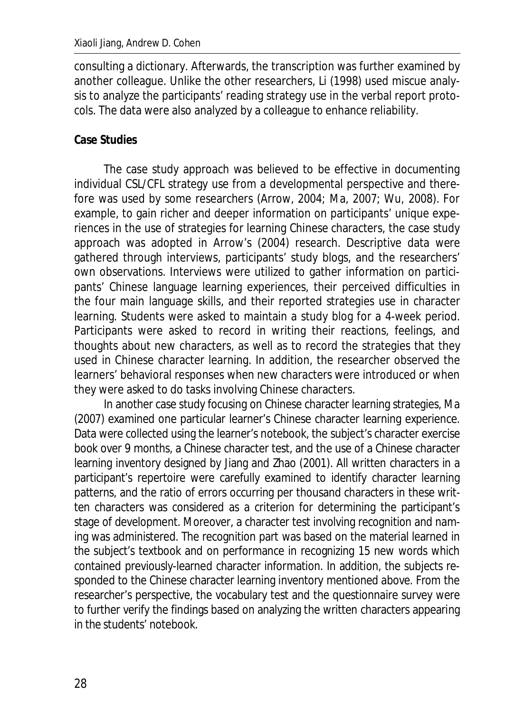consulting a dictionary. Afterwards, the transcription was further examined by another colleague. Unlike the other researchers, Li (1998) used miscue analysis to analyze the participants' reading strategy use in the verbal report protocols. The data were also analyzed by a colleague to enhance reliability.

### **Case Studies**

The case study approach was believed to be effective in documenting individual CSL/CFL strategy use from a developmental perspective and therefore was used by some researchers (Arrow, 2004; Ma, 2007; Wu, 2008). For example, to gain richer and deeper information on participants' unique experiences in the use of strategies for learning Chinese characters, the case study approach was adopted in Arrow's (2004) research. Descriptive data were gathered through interviews, participants' study blogs, and the researchers' own observations. Interviews were utilized to gather information on participants' Chinese language learning experiences, their perceived difficulties in the four main language skills, and their reported strategies use in character learning. Students were asked to maintain a study blog for a 4-week period. Participants were asked to record in writing their reactions, feelings, and thoughts about new characters, as well as to record the strategies that they used in Chinese character learning. In addition, the researcher observed the learners' behavioral responses when new characters were introduced or when they were asked to do tasks involving Chinese characters.

In another case study focusing on Chinese character learning strategies, Ma (2007) examined one particular learner's Chinese character learning experience. Data were collected using the learner's notebook, the subject's character exercise book over 9 months, a Chinese character test, and the use of a Chinese character learning inventory designed by Jiang and Zhao (2001). All written characters in a participant's repertoire were carefully examined to identify character learning patterns, and the ratio of errors occurring per thousand characters in these written characters was considered as a criterion for determining the participant's stage of development. Moreover, a character test involving recognition and naming was administered. The recognition part was based on the material learned in the subject's textbook and on performance in recognizing 15 new words which contained previously-learned character information. In addition, the subjects responded to the Chinese character learning inventory mentioned above. From the researcher's perspective, the vocabulary test and the questionnaire survey were to further verify the findings based on analyzing the written characters appearing in the students' notebook.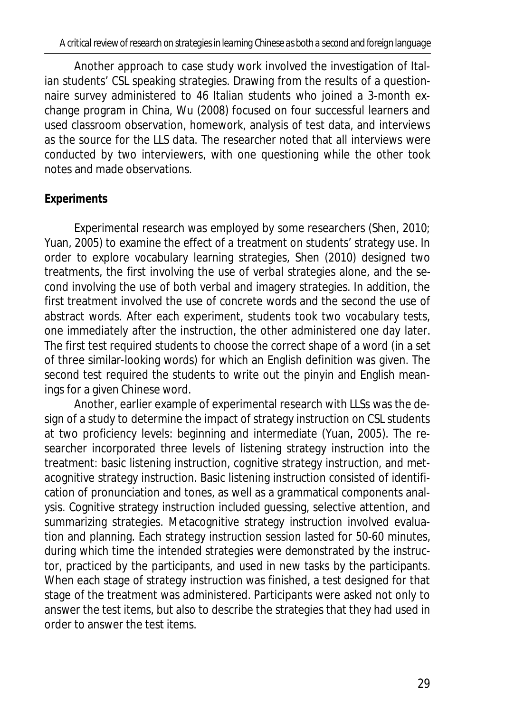Another approach to case study work involved the investigation of Italian students' CSL speaking strategies. Drawing from the results of a questionnaire survey administered to 46 Italian students who joined a 3-month exchange program in China, Wu (2008) focused on four successful learners and used classroom observation, homework, analysis of test data, and interviews as the source for the LLS data. The researcher noted that all interviews were conducted by two interviewers, with one questioning while the other took notes and made observations.

# **Experiments**

Experimental research was employed by some researchers (Shen, 2010; Yuan, 2005) to examine the effect of a treatment on students' strategy use. In order to explore vocabulary learning strategies, Shen (2010) designed two treatments, the first involving the use of verbal strategies alone, and the second involving the use of both verbal and imagery strategies. In addition, the first treatment involved the use of concrete words and the second the use of abstract words. After each experiment, students took two vocabulary tests, one immediately after the instruction, the other administered one day later. The first test required students to choose the correct shape of a word (in a set of three similar-looking words) for which an English definition was given. The second test required the students to write out the pinyin and English meanings for a given Chinese word.

Another, earlier example of experimental research with LLSs was the design of a study to determine the impact of strategy instruction on CSL students at two proficiency levels: beginning and intermediate (Yuan, 2005). The researcher incorporated three levels of listening strategy instruction into the treatment: basic listening instruction, cognitive strategy instruction, and metacognitive strategy instruction. Basic listening instruction consisted of identification of pronunciation and tones, as well as a grammatical components analysis. Cognitive strategy instruction included guessing, selective attention, and summarizing strategies. Metacognitive strategy instruction involved evaluation and planning. Each strategy instruction session lasted for 50-60 minutes, during which time the intended strategies were demonstrated by the instructor, practiced by the participants, and used in new tasks by the participants. When each stage of strategy instruction was finished, a test designed for that stage of the treatment was administered. Participants were asked not only to answer the test items, but also to describe the strategies that they had used in order to answer the test items.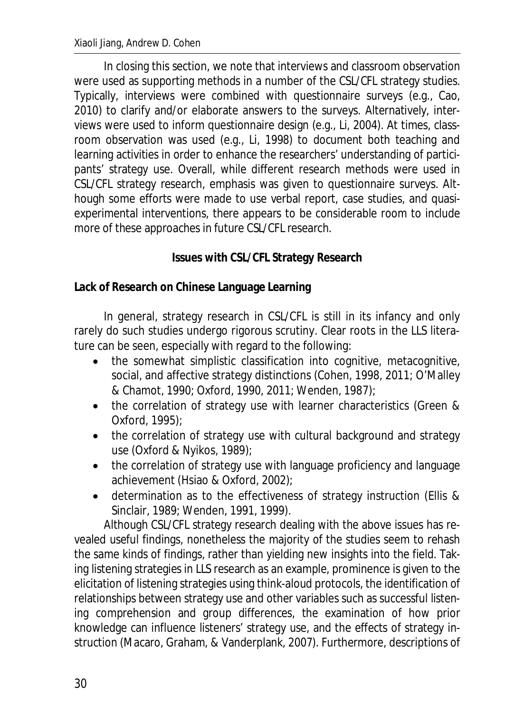In closing this section, we note that interviews and classroom observation were used as supporting methods in a number of the CSL/CFL strategy studies. Typically, interviews were combined with questionnaire surveys (e.g., Cao, 2010) to clarify and/or elaborate answers to the surveys. Alternatively, interviews were used to inform questionnaire design (e.g., Li, 2004). At times, classroom observation was used (e.g., Li, 1998) to document both teaching and learning activities in order to enhance the researchers' understanding of participants' strategy use. Overall, while different research methods were used in CSL/CFL strategy research, emphasis was given to questionnaire surveys. Although some efforts were made to use verbal report, case studies, and quasiexperimental interventions, there appears to be considerable room to include more of these approaches in future CSL/CFL research.

## **Issues with CSL/CFL Strategy Research**

**Lack of Research on Chinese Language Learning** 

In general, strategy research in CSL/CFL is still in its infancy and only rarely do such studies undergo rigorous scrutiny. Clear roots in the LLS literature can be seen, especially with regard to the following:

- the somewhat simplistic classification into cognitive, metacognitive, social, and affective strategy distinctions (Cohen, 1998, 2011; O'Malley & Chamot, 1990; Oxford, 1990, 2011; Wenden, 1987);
- $\bullet$  the correlation of strategy use with learner characteristics (Green & Oxford, 1995);
- the correlation of strategy use with cultural background and strategy use (Oxford & Nyikos, 1989);
- $\bullet$  the correlation of strategy use with language proficiency and language achievement (Hsiao & Oxford, 2002);
- x determination as to the effectiveness of strategy instruction (Ellis & Sinclair, 1989; Wenden, 1991, 1999).

Although CSL/CFL strategy research dealing with the above issues has revealed useful findings, nonetheless the majority of the studies seem to rehash the same kinds of findings, rather than yielding new insights into the field. Taking listening strategies in LLS research as an example, prominence is given to the elicitation of listening strategies using think-aloud protocols, the identification of relationships between strategy use and other variables such as successful listening comprehension and group differences, the examination of how prior knowledge can influence listeners' strategy use, and the effects of strategy instruction (Macaro, Graham, & Vanderplank, 2007). Furthermore, descriptions of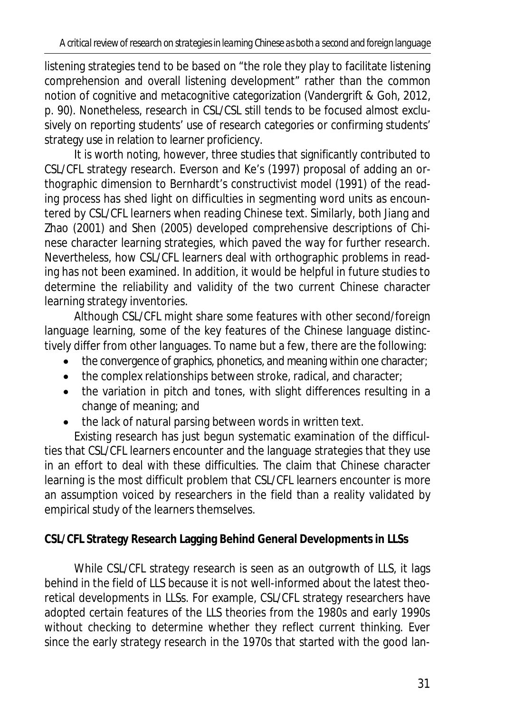listening strategies tend to be based on "the role they play to facilitate listening comprehension and overall listening development" rather than the common notion of cognitive and metacognitive categorization (Vandergrift & Goh, 2012, p. 90). Nonetheless, research in CSL/CSL still tends to be focused almost exclusively on reporting students' use of research categories or confirming students' strategy use in relation to learner proficiency.

It is worth noting, however, three studies that significantly contributed to CSL/CFL strategy research. Everson and Ke's (1997) proposal of adding an orthographic dimension to Bernhardt's constructivist model (1991) of the reading process has shed light on difficulties in segmenting word units as encountered by CSL/CFL learners when reading Chinese text. Similarly, both Jiang and Zhao (2001) and Shen (2005) developed comprehensive descriptions of Chinese character learning strategies, which paved the way for further research. Nevertheless, how CSL/CFL learners deal with orthographic problems in reading has not been examined. In addition, it would be helpful in future studies to determine the reliability and validity of the two current Chinese character learning strategy inventories.

Although CSL/CFL might share some features with other second/foreign language learning, some of the key features of the Chinese language distinctively differ from other languages. To name but a few, there are the following:

- $\bullet$  the convergence of graphics, phonetics, and meaning within one character;
- $\bullet$  the complex relationships between stroke, radical, and character;
- the variation in pitch and tones, with slight differences resulting in a change of meaning; and
- $\bullet$  the lack of natural parsing between words in written text.

Existing research has just begun systematic examination of the difficulties that CSL/CFL learners encounter and the language strategies that they use in an effort to deal with these difficulties. The claim that Chinese character learning is the most difficult problem that CSL/CFL learners encounter is more an assumption voiced by researchers in the field than a reality validated by empirical study of the learners themselves.

**CSL/CFL Strategy Research Lagging Behind General Developments in LLSs** 

While CSL/CFL strategy research is seen as an outgrowth of LLS, it lags behind in the field of LLS because it is not well-informed about the latest theoretical developments in LLSs. For example, CSL/CFL strategy researchers have adopted certain features of the LLS theories from the 1980s and early 1990s without checking to determine whether they reflect current thinking. Ever since the early strategy research in the 1970s that started with the good lan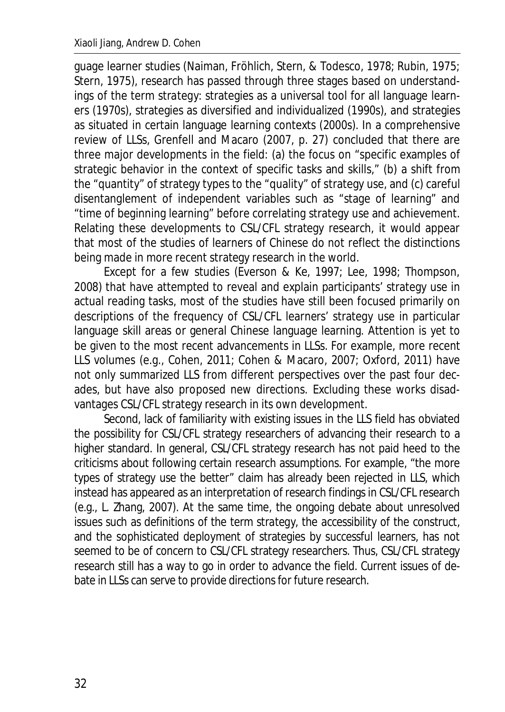guage learner studies (Naiman, Fröhlich, Stern, & Todesco, 1978; Rubin, 1975; Stern, 1975), research has passed through three stages based on understandings of the term *strategy*: strategies as a universal tool for all language learners (1970s), strategies as diversified and individualized (1990s), and strategies as situated in certain language learning contexts (2000s). In a comprehensive review of LLSs, Grenfell and Macaro (2007, p. 27) concluded that there are three major developments in the field: (a) the focus on "specific examples of strategic behavior in the context of specific tasks and skills," (b) a shift from the "quantity" of strategy types to the "quality" of strategy use, and (c) careful disentanglement of independent variables such as "stage of learning" and "time of beginning learning" before correlating strategy use and achievement. Relating these developments to CSL/CFL strategy research, it would appear that most of the studies of learners of Chinese do not reflect the distinctions being made in more recent strategy research in the world.

Except for a few studies (Everson & Ke, 1997; Lee, 1998; Thompson, 2008) that have attempted to reveal and explain participants' strategy use in actual reading tasks, most of the studies have still been focused primarily on descriptions of the frequency of CSL/CFL learners' strategy use in particular language skill areas or general Chinese language learning. Attention is yet to be given to the most recent advancements in LLSs. For example, more recent LLS volumes (e.g., Cohen, 2011; Cohen & Macaro, 2007; Oxford, 2011) have not only summarized LLS from different perspectives over the past four decades, but have also proposed new directions. Excluding these works disadvantages CSL/CFL strategy research in its own development.

Second, lack of familiarity with existing issues in the LLS field has obviated the possibility for CSL/CFL strategy researchers of advancing their research to a higher standard. In general, CSL/CFL strategy research has not paid heed to the criticisms about following certain research assumptions. For example, "the more types of strategy use the better" claim has already been rejected in LLS, which instead has appeared as an interpretation of research findings in CSL/CFL research (e.g., L. Zhang, 2007). At the same time, the ongoing debate about unresolved issues such as definitions of the term *strategy*, the accessibility of the construct, and the sophisticated deployment of strategies by successful learners, has not seemed to be of concern to CSL/CFL strategy researchers. Thus, CSL/CFL strategy research still has a way to go in order to advance the field. Current issues of debate in LLSs can serve to provide directions for future research.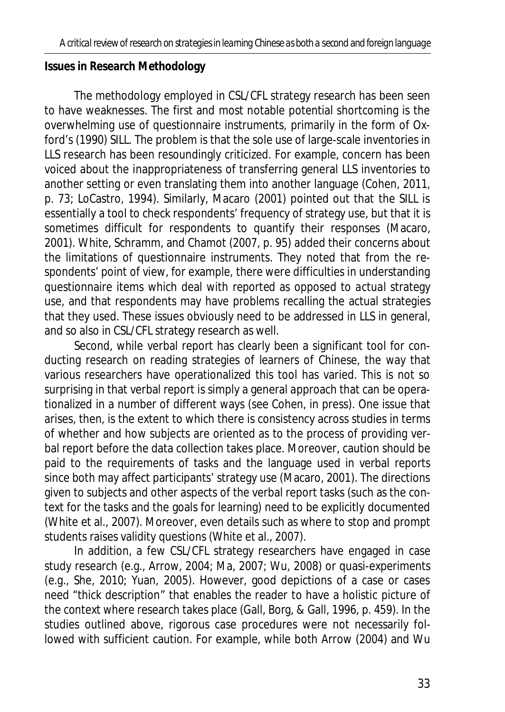### **Issues in Research Methodology**

The methodology employed in CSL/CFL strategy research has been seen to have weaknesses. The first and most notable potential shortcoming is the overwhelming use of questionnaire instruments, primarily in the form of Oxford's (1990) SILL. The problem is that the sole use of large-scale inventories in LLS research has been resoundingly criticized. For example, concern has been voiced about the inappropriateness of transferring general LLS inventories to another setting or even translating them into another language (Cohen, 2011, p. 73; LoCastro, 1994). Similarly, Macaro (2001) pointed out that the SILL is essentially a tool to check respondents' frequency of strategy use, but that it is sometimes difficult for respondents to quantify their responses (Macaro, 2001). White, Schramm, and Chamot (2007, p. 95) added their concerns about the limitations of questionnaire instruments. They noted that from the respondents' point of view, for example, there were difficulties in understanding questionnaire items which deal with *reported* as opposed to *actual* strategy use, and that respondents may have problems recalling the actual strategies that they used. These issues obviously need to be addressed in LLS in general, and so also in CSL/CFL strategy research as well.

Second, while verbal report has clearly been a significant tool for conducting research on reading strategies of learners of Chinese, the way that various researchers have operationalized this tool has varied. This is not so surprising in that verbal report is simply a general approach that can be operationalized in a number of different ways (see Cohen, in press). One issue that arises, then, is the extent to which there is consistency across studies in terms of whether and how subjects are oriented as to the process of providing verbal report before the data collection takes place. Moreover, caution should be paid to the requirements of tasks and the language used in verbal reports since both may affect participants' strategy use (Macaro, 2001). The directions given to subjects and other aspects of the verbal report tasks (such as the context for the tasks and the goals for learning) need to be explicitly documented (White et al., 2007). Moreover, even details such as where to stop and prompt students raises validity questions (White et al., 2007).

In addition, a few CSL/CFL strategy researchers have engaged in case study research (e.g., Arrow, 2004; Ma, 2007; Wu, 2008) or quasi-experiments (e.g., She, 2010; Yuan, 2005). However, good depictions of a case or cases need "thick description" that enables the reader to have a holistic picture of the context where research takes place (Gall, Borg, & Gall, 1996, p. 459). In the studies outlined above, rigorous case procedures were not necessarily followed with sufficient caution. For example, while both Arrow (2004) and Wu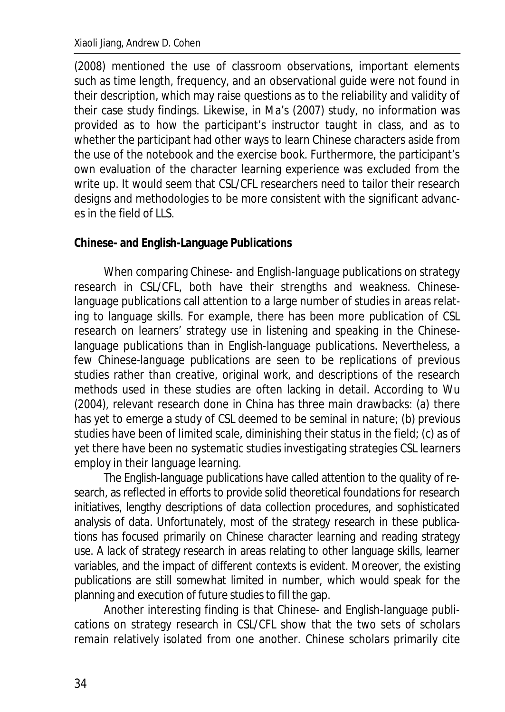(2008) mentioned the use of classroom observations, important elements such as time length, frequency, and an observational guide were not found in their description, which may raise questions as to the reliability and validity of their case study findings. Likewise, in Ma's (2007) study, no information was provided as to how the participant's instructor taught in class, and as to whether the participant had other ways to learn Chinese characters aside from the use of the notebook and the exercise book. Furthermore, the participant's own evaluation of the character learning experience was excluded from the write up. It would seem that CSL/CFL researchers need to tailor their research designs and methodologies to be more consistent with the significant advances in the field of LLS.

#### **Chinese- and English-Language Publications**

When comparing Chinese- and English-language publications on strategy research in CSL/CFL, both have their strengths and weakness. Chineselanguage publications call attention to a large number of studies in areas relating to language skills. For example, there has been more publication of CSL research on learners' strategy use in listening and speaking in the Chineselanguage publications than in English-language publications. Nevertheless, a few Chinese-language publications are seen to be replications of previous studies rather than creative, original work, and descriptions of the research methods used in these studies are often lacking in detail. According to Wu (2004), relevant research done in China has three main drawbacks: (a) there has yet to emerge a study of CSL deemed to be seminal in nature; (b) previous studies have been of limited scale, diminishing their status in the field; (c) as of yet there have been no systematic studies investigating strategies CSL learners employ in their language learning.

The English-language publications have called attention to the quality of research, as reflected in efforts to provide solid theoretical foundations for research initiatives, lengthy descriptions of data collection procedures, and sophisticated analysis of data. Unfortunately, most of the strategy research in these publications has focused primarily on Chinese character learning and reading strategy use. A lack of strategy research in areas relating to other language skills, learner variables, and the impact of different contexts is evident. Moreover, the existing publications are still somewhat limited in number, which would speak for the planning and execution of future studies to fill the gap.

Another interesting finding is that Chinese- and English-language publications on strategy research in CSL/CFL show that the two sets of scholars remain relatively isolated from one another. Chinese scholars primarily cite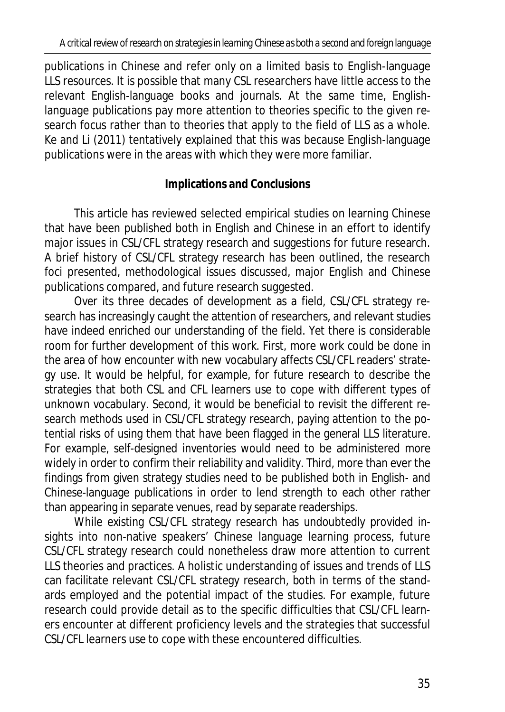publications in Chinese and refer only on a limited basis to English-language LLS resources. It is possible that many CSL researchers have little access to the relevant English-language books and journals. At the same time, Englishlanguage publications pay more attention to theories specific to the given research focus rather than to theories that apply to the field of LLS as a whole. Ke and Li (2011) tentatively explained that this was because English-language publications were in the areas with which they were more familiar.

# **Implications and Conclusions**

This article has reviewed selected empirical studies on learning Chinese that have been published both in English and Chinese in an effort to identify major issues in CSL/CFL strategy research and suggestions for future research. A brief history of CSL/CFL strategy research has been outlined, the research foci presented, methodological issues discussed, major English and Chinese publications compared, and future research suggested.

Over its three decades of development as a field, CSL/CFL strategy research has increasingly caught the attention of researchers, and relevant studies have indeed enriched our understanding of the field. Yet there is considerable room for further development of this work. First, more work could be done in the area of how encounter with new vocabulary affects CSL/CFL readers' strategy use. It would be helpful, for example, for future research to describe the strategies that both CSL and CFL learners use to cope with different types of unknown vocabulary. Second, it would be beneficial to revisit the different research methods used in CSL/CFL strategy research, paying attention to the potential risks of using them that have been flagged in the general LLS literature. For example, self-designed inventories would need to be administered more widely in order to confirm their reliability and validity. Third, more than ever the findings from given strategy studies need to be published both in English- and Chinese-language publications in order to lend strength to each other rather than appearing in separate venues, read by separate readerships.

While existing CSL/CFL strategy research has undoubtedly provided insights into non-native speakers' Chinese language learning process, future CSL/CFL strategy research could nonetheless draw more attention to current LLS theories and practices. A holistic understanding of issues and trends of LLS can facilitate relevant CSL/CFL strategy research, both in terms of the standards employed and the potential impact of the studies. For example, future research could provide detail as to the specific difficulties that CSL/CFL learners encounter at different proficiency levels and the strategies that successful CSL/CFL learners use to cope with these encountered difficulties.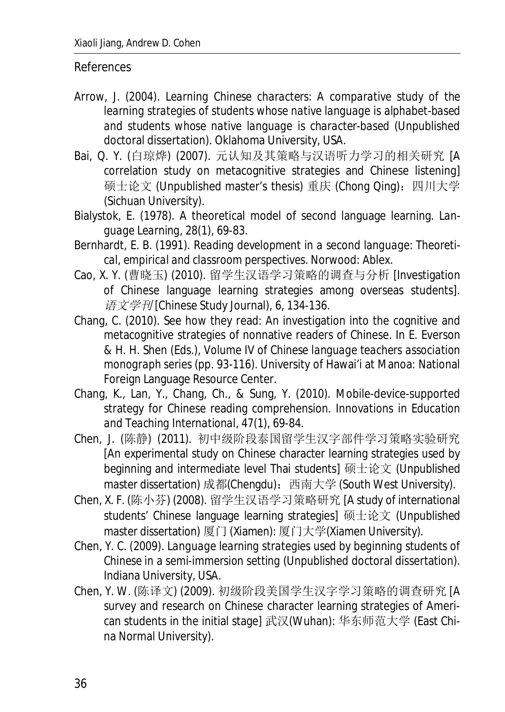#### References

- Arrow, J. (2004). *Learning Chinese characters: A comparative study of the learning strategies of students whose native language is alphabet-based and students whose native language is character-based* (Unpublished doctoral dissertation). Oklahoma University, USA.
- Bai, Q. Y. (白琼烨) (2007). 元认知及其策略与汉语听力学习的相关研究 [A correlation study on metacognitive strategies and Chinese listening] 硕士论文 (Unpublished master's thesis) 重庆 (Chong Qing): 四川大学 (Sichuan University).
- Bialystok, E. (1978). A theoretical model of second language learning. *Language Learning, 28*(1), 69-83.
- Bernhardt, E. B. (1991). *Reading development in a second language: Theoretical, empirical and classroom perspectives*. Norwood: Ablex.
- Cao, X. Y. (曹晓玉) (2010). 留学生汉语学习策略的调查与分析 Investigation of Chinese language learning strategies among overseas students]. 䈝᮷ᆖ࠺] Chinese Study Journal), *6*, 134-136.
- Chang, C. (2010). See how they read: An investigation into the cognitive and metacognitive strategies of nonnative readers of Chinese. In E. Everson & H. H. Shen (Eds.), *Volume IV of Chinese language teachers association monograph series* (pp. 93-116). University of Hawai'i at Manoa: National Foreign Language Resource Center.
- Chang, K., Lan, Y., Chang, Ch., & Sung, Y. (2010). Mobile-device-supported strategy for Chinese reading comprehension. *Innovations in Education and Teaching International, 47*(1), 69-84.
- Chen, J. (陈静) (2011). 初中级阶段泰国留学生汉字部件学习策略实验研究 [An experimental study on Chinese character learning strategies used by beginning and intermediate level Thai students] 硕士论文 (Unpublished master dissertation) 成都(Chengdu): 西南大学 (South West University).
- Chen, X. F. (陈小芬) (2008). 留学生汉语学习策略研究 [A study of international students' Chinese language learning strategies] 硕士论文 (Unpublished master dissertation) 厦门 (Xiamen): 厦门大学(Xiamen University).
- Chen, Y. C. (2009). *Language learning strategies used by beginning students of Chinese in a semi-immersion setting* (Unpublished doctoral dissertation). Indiana University, USA.
- Chen, Y. W. (陈译文) (2009). 初级阶段美国学生汉字学习策略的调查研究 [A survey and research on Chinese character learning strategies of American students in the initial stage] 武汉(Wuhan): 华东师范大学 (East China Normal University).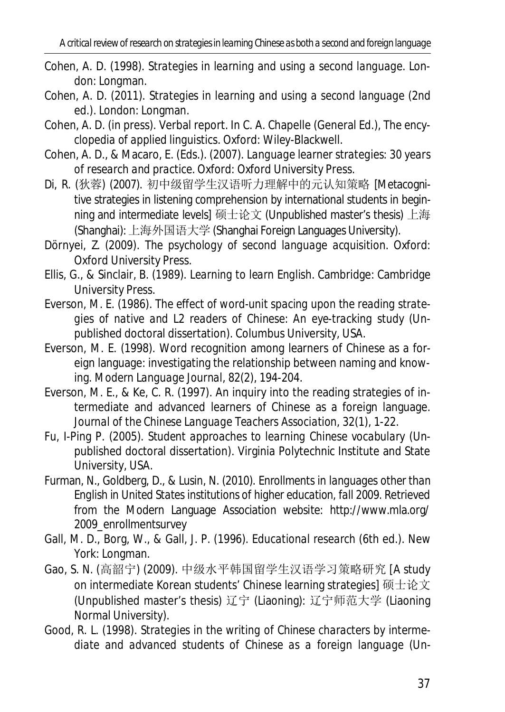- Cohen, A. D. (1998). *Strategies in learning and using a second language*. London: Longman.
- Cohen, A. D. (2011). *Strategies in learning and using a second language* (2nd ed.). London: Longman.
- Cohen, A. D. (in press). Verbal report. In C. A. Chapelle (General Ed.), *The encyclopedia of applied linguistics*. Oxford: Wiley-Blackwell.
- Cohen, A. D., & Macaro, E. (Eds.). (2007). *Language learner strategies: 30 years of research and practice.* Oxford: Oxford University Press.
- Di, R. (狄蓉) (2007). 初中级留学生汉语听力理解中的元认知策略 [Metacognitive strategies in listening comprehension by international students in beginning and intermediate levels] 硕士论文 (Unpublished master's thesis) 上海 (Shanghai): 上海外国语大学 (Shanghai Foreign Languages University).
- Dörnyei, Z. (2009). *The psychology of second language acquisition*. Oxford: Oxford University Press.
- Ellis, G., & Sinclair, B. (1989). *Learning to learn English*. Cambridge: Cambridge University Press.
- Everson, M. E. (1986). *The effect of word-unit spacing upon the reading strategies of native and L2 readers of Chinese: An eye-tracking study* (Unpublished doctoral dissertation). Columbus University, USA.
- Everson, M. E. (1998). Word recognition among learners of Chinese as a foreign language: investigating the relationship between naming and knowing. *Modern Language Journal, 82*(2), 194-204.
- Everson, M. E., & Ke, C. R. (1997). An inquiry into the reading strategies of intermediate and advanced learners of Chinese as a foreign language. *Journal of the Chinese Language Teachers Association*, *32*(1), 1-22.
- Fu, I-Ping P. (2005). *Student approaches to learning Chinese vocabulary* (Unpublished doctoral dissertation). Virginia Polytechnic Institute and State University, USA.
- Furman, N., Goldberg, D., & Lusin, N. (2010). *Enrollments in languages other than English in United States institutions of higher education, fall 2009.* Retrieved from the Modern Language Association website: http://www.mla.org/ 2009\_enrollmentsurvey
- Gall, M. D., Borg, W., & Gall, J. P. (1996). *Educational research* (6th ed.). New York: Longman.
- Gao, S. N. (高韶宁) (2009). 中级水平韩国留学生汉语学习策略研究 [A study on intermediate Korean students' Chinese learning strategies] 硕士论文 (Unpublished master's thesis) 辽宁 (Liaoning): 辽宁师范大学 (Liaoning Normal University).
- Good, R. L. (1998). *Strategies in the writing of Chinese characters by intermediate and advanced students of Chinese as a foreign language* (Un-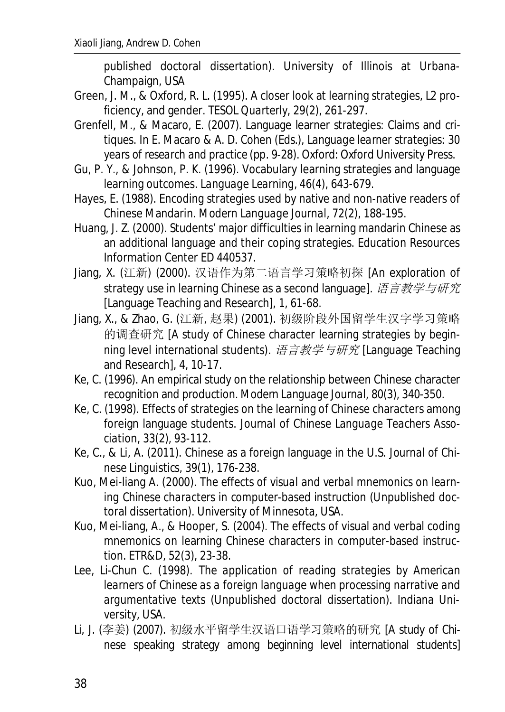published doctoral dissertation). University of Illinois at Urbana-Champaign, USA

- Green, J. M., & Oxford, R. L. (1995). A closer look at learning strategies, L2 proficiency, and gender. *TESOL Quarterly, 29*(2), 261-297.
- Grenfell, M., & Macaro, E. (2007). Language learner strategies: Claims and critiques. In E. Macaro & A. D. Cohen (Eds.), *Language learner strategies: 30 years of research and practice* (pp. 9-28). Oxford: Oxford University Press.
- Gu, P. Y., & Johnson, P. K. (1996). Vocabulary learning strategies and language learning outcomes. *Language Learning, 46*(4), 643-679.
- Hayes, E. (1988). Encoding strategies used by native and non-native readers of Chinese Mandarin. *Modern Language Journal*, *72*(2), 188-195.
- Huang, J. Z. (2000). Students' major difficulties in learning mandarin Chinese as an additional language and their coping strategies. Education Resources Information Center ED 440537.
- Jiang, X. (江新) (2000). 汉语作为第二语言学习策略初探 [An exploration of strategy use in learning Chinese as a second language]. 语言教学与研究 [Language Teaching and Research], *1*, 61-68.
- Jiang, X., & Zhao, G. (江新, 赵果) (2001). 初级阶段外国留学生汉字学习策略 的调查研究 [A study of Chinese character learning strategies by beginning level international students). 语言教学与研究 [Language Teaching and Research], *4*, 10-17.
- Ke, C. (1996). An empirical study on the relationship between Chinese character recognition and production. *Modern Language Journal, 80*(3), 340-350.
- Ke, C. (1998). Effects of strategies on the learning of Chinese characters among foreign language students. *Journal of Chinese Language Teachers Association, 33*(2), 93-112.
- Ke, C., & Li, A. (2011). Chinese as a foreign language in the U.S. *Journal of Chinese Linguistics, 39*(1), 176-238.
- Kuo, Mei-liang A. (2000). *The effects of visual and verbal mnemonics on learning Chinese characters in computer-based instruction* (Unpublished doctoral dissertation). University of Minnesota, USA.
- Kuo, Mei-liang, A., & Hooper, S. (2004). The effects of visual and verbal coding mnemonics on learning Chinese characters in computer-based instruction. *ETR&D, 52*(3), 23-38.
- Lee, Li-Chun C. (1998). *The application of reading strategies by American learners of Chinese as a foreign language when processing narrative and argumentative texts* (Unpublished doctoral dissertation). Indiana University, USA.
- Li, J. (李姜) (2007). 初级水平留学生汉语口语学习策略的研究 [A study of Chinese speaking strategy among beginning level international students]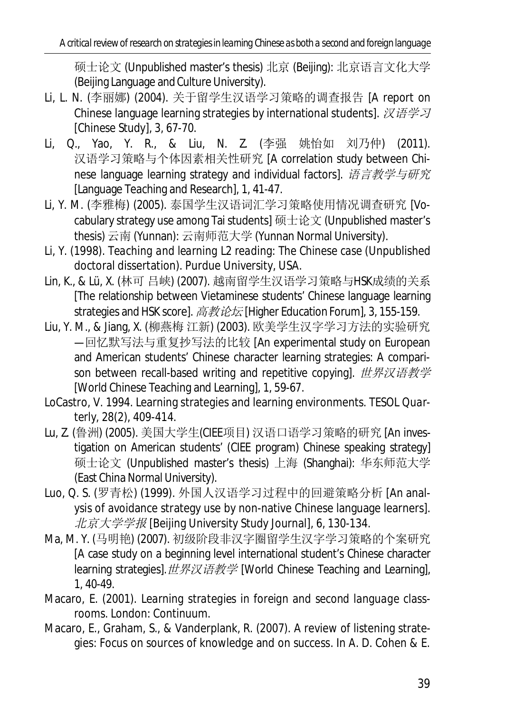硕士论文 (Unpublished master's thesis) 北京 (Beijing): 北京语言文化大学 (Beijing Language and Culture University).

- Li, L. N. (李丽娜) (2004). 关于留学生汉语学习策略的调查报告 [A report on Chinese language learning strategies by international students].  $\mathcal{R} \ddot{\theta} \ddot{\theta} \ddot{\theta}$ [Chinese Study], *3*, 67-70.
- Li, Q., Yao, Y. R., & Liu, N. Z. (李强 姚怡如 刘乃仲) (2011). 汉语学习策略与个体因素相关性研究 [A correlation study between Chinese language learning strategy and individual factors]. 语言教学与研究 [Language Teaching and Research], *1*, 41-47.
- Li, Y. M. (李雅梅) (2005). 泰国学生汉语词汇学习策略使用情况调查研究 [Vocabulary strategy use among Tai students] 硕士论文 (Unpublished master's thesis) 云南 (Yunnan): 云南师范大学 (Yunnan Normal University).
- Li, Y. (1998). *Teaching and learning L2 reading: The Chinese case* (Unpublished doctoral dissertation). Purdue University, USA.
- Lin, K., & Lü, X. (林可吕峡) (2007). 越南留学生汉语学习策略与HSK成绩的关系 [The relationship between Vietaminese students' Chinese language learning strategies and HSK score]. 高教论坛 [Higher Education Forum], 3, 155-159.
- Liu, Y. M., & Jiang, X. (柳燕梅 江新) (2003). 欧美学生汉字学习方法的实验研究 —回忆默写法与重复抄写法的比较 [An experimental study on European and American students' Chinese character learning strategies: A comparison between recall-based writing and repetitive copying]. 世界汉语教学 [World Chinese Teaching and Learning], *1*, 59-67.
- LoCastro, V. 1994. Learning strategies and learning environments. *TESOL Quarterly*, *28*(2), 409-414.
- Lu, Z. (鲁洲) (2005). 美国大学生(CIEE项目) 汉语口语学习策略的研究 [An investigation on American students' (CIEE program) Chinese speaking strategy] 硕士论文 (Unpublished master's thesis) 上海 (Shanghai): 华东师范大学 (East China Normal University).
- Luo, Q. S. (罗青松) (1999). 外国人汉语学习过程中的回避策略分析 [An analysis of avoidance strategy use by non-native Chinese language learners]. 北京大学学报 [Beijing University Study Journal], *6*, 130-134.
- Ma, M. Y. (马明艳) (2007). 初级阶段非汉字圈留学生汉字学习策略的个案研究 [A case study on a beginning level international student's Chinese character learning strategies]. 世界汉语教学 [World Chinese Teaching and Learning], *1*, 40-49.
- Macaro, E. (2001). *Learning strategies in foreign and second language classrooms*. London: Continuum.
- Macaro, E., Graham, S., & Vanderplank, R. (2007). A review of listening strategies: Focus on sources of knowledge and on success. In A. D. Cohen & E.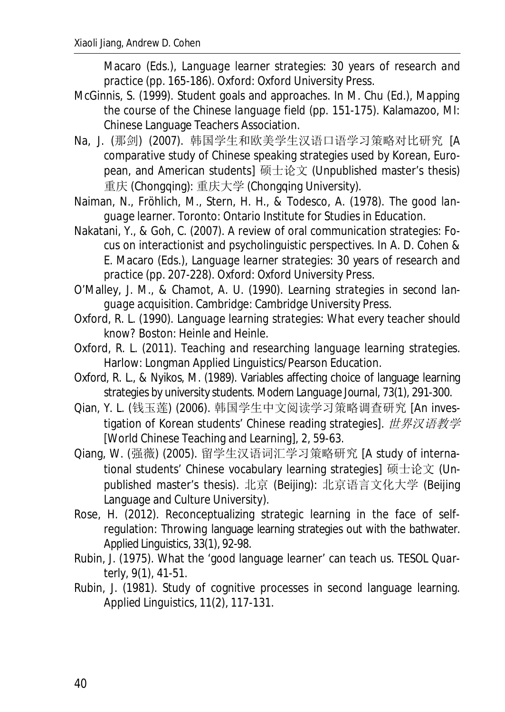Macaro (Eds.), *Language learner strategies: 30 years of research and practice* (pp. 165-186). Oxford: Oxford University Press.

- McGinnis, S. (1999). Student goals and approaches. In M. Chu (Ed.), *Mapping the course of the Chinese language field (pp. 151-175). Kalamazoo, MI:* Chinese Language Teachers Association.
- Na, J. (那剑) (2007). 韩国学生和欧美学生汉语口语学习策略对比研究 [A comparative study of Chinese speaking strategies used by Korean, European, and American students] 硕士论文 (Unpublished master's thesis) 重庆 (Chongqing): 重庆大学 (Chongqing University).
- Naiman, N., Fröhlich, M., Stern, H. H., & Todesco, A. (1978). *The good language learner*. Toronto: Ontario Institute for Studies in Education.
- Nakatani, Y., & Goh, C. (2007). A review of oral communication strategies: Focus on interactionist and psycholinguistic perspectives. In A. D. Cohen & E. Macaro (Eds.), *Language learner strategies: 30 years of research and practice* (pp. 207-228). Oxford: Oxford University Press.
- O'Malley, J. M., & Chamot, A. U. (1990). *Learning strategies in second language acquisition*. Cambridge: Cambridge University Press.
- Oxford, R. L. (1990). *Language learning strategies: What every teacher should know?* Boston: Heinle and Heinle.
- Oxford, R. L. (2011). *Teaching and researching language learning strategies*. Harlow: Longman Applied Linguistics/Pearson Education.
- Oxford, R. L., & Nyikos, M. (1989). Variables affecting choice of language learning strategies by university students. *Modern Language Journal*, *73*(1), 291-300.
- Qian, Y. L. (钱玉莲) (2006). 韩国学生中文阅读学习策略调查研究 [An investigation of Korean students' Chinese reading strategies]. 世界汉语教学 [World Chinese Teaching and Learning], *2*, 59-63.
- Oiang, W. (强薇) (2005). 留学生汉语词汇学习策略研究 [A study of international students' Chinese vocabulary learning strategies] 硕士论文 (Unpublished master's thesis). 北京 (Beijing): 北京语言文化大学 (Beijing Language and Culture University).
- Rose, H. (2012). Reconceptualizing strategic learning in the face of selfregulation: Throwing language learning strategies out with the bathwater. *Applied Linguistics*, *33*(1), 92-98.
- Rubin, J. (1975). What the 'good language learner' can teach us. *TESOL Quarterly, 9*(1), 41-51.
- Rubin, J. (1981). Study of cognitive processes in second language learning. *Applied Linguistics, 11*(2), 117-131.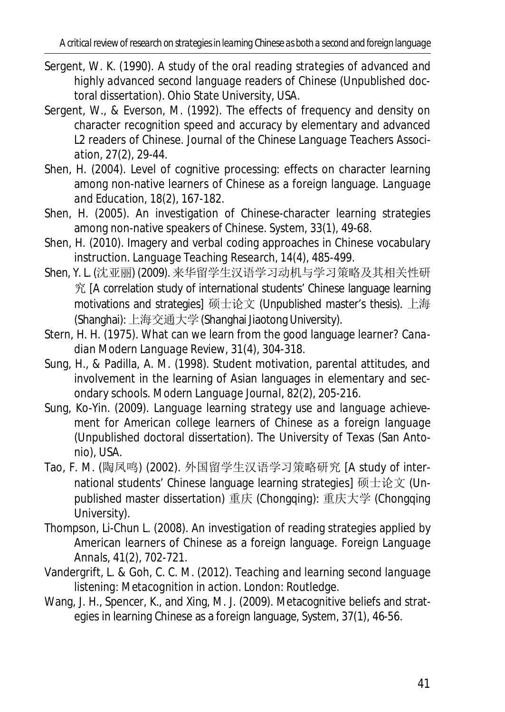- Sergent, W. K. (1990). *A study of the oral reading strategies of advanced and highly advanced second language readers of Chinese* (Unpublished doctoral dissertation). Ohio State University, USA.
- Sergent, W., & Everson, M. (1992). The effects of frequency and density on character recognition speed and accuracy by elementary and advanced L2 readers of Chinese. *Journal of the Chinese Language Teachers Association, 27*(2), 29-44.
- Shen, H. (2004). Level of cognitive processing: effects on character learning among non-native learners of Chinese as a foreign language. *Language and Education, 18*(2), 167-182.
- Shen, H. (2005). An investigation of Chinese-character learning strategies among non-native speakers of Chinese. *System, 33*(1), 49-68.
- Shen, H. (2010). Imagery and verbal coding approaches in Chinese vocabulary instruction. *Language Teaching Research, 14*(4), 485-499.
- Shen, Y. L. (沈亚丽) (2009). 来华留学生汉语学习动机与学习策略及其相关性研 究 [A correlation study of international students' Chinese language learning motivations and strategies] 硕士论文 (Unpublished master's thesis). 上海 (Shanghai): 上海交通大学 (Shanghai Jiaotong University).
- Stern, H. H. (1975). What can we learn from the good language learner? *Canadian Modern Language Review, 31*(4), 304-318.
- Sung, H., & Padilla, A. M. (1998). Student motivation, parental attitudes, and involvement in the learning of Asian languages in elementary and secondary schools. *Modern Language Journal*, *82*(2), 205-216.
- Sung, Ko-Yin. (2009). *Language learning strategy use and language achievement for American college learners of Chinese as a foreign language* (Unpublished doctoral dissertation). The University of Texas (San Antonio), USA.
- Tao, F. M. (陶凤鸣) (2002). 外国留学生汉语学习策略研究 [A study of international students' Chinese language learning strategies] 硕士论文 (Unpublished master dissertation) 重庆 (Chongqing): 重庆大学 (Chongqing University).
- Thompson, Li-Chun L. (2008). An investigation of reading strategies applied by American learners of Chinese as a foreign language. *Foreign Language Annals*, *41*(2), 702-721.
- Vandergrift, L. & Goh, C. C. M. (2012). *Teaching and learning second language listening: Metacognition in action*. London: Routledge.
- Wang, J. H., Spencer, K., and Xing, M. J. (2009). Metacognitive beliefs and strategies in learning Chinese as a foreign language, *System, 37*(1), 46-56.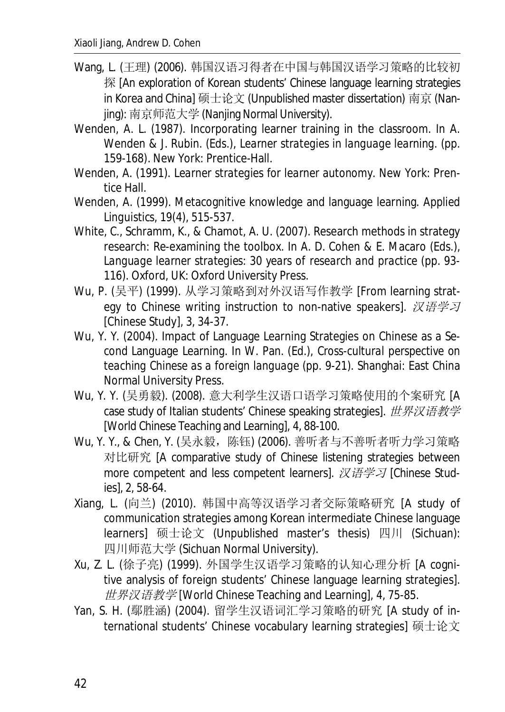- Wang, L. (王理) (2006). 韩国汉语习得者在中国与韩国汉语学习策略的比较初 探 [An exploration of Korean students' Chinese language learning strategies in Korea and China] 硕士论文 (Unpublished master dissertation) 南京 (Nanjing): 南京师范大学 (Nanjing Normal University).
- Wenden, A. L. (1987). Incorporating learner training in the classroom. In A. Wenden & J. Rubin. (Eds.), *Learner strategies in language learning.* (pp. 159-168). New York: Prentice-Hall.
- Wenden, A. (1991). *Learner strategies for learner autonomy.* New York: Prentice Hall.
- Wenden, A. (1999). Metacognitive knowledge and language learning. *Applied Linguistics, 19*(4), 515-537.
- White, C., Schramm, K., & Chamot, A. U. (2007). Research methods in strategy research: Re-examining the toolbox. In A. D. Cohen & E. Macaro (Eds.), *Language learner strategies: 30 years of research and practice* (pp. 93- 116). Oxford, UK: Oxford University Press.
- Wu, P. (吴平) (1999). 从学习策略到对外汉语写作教学 [From learning strategy to Chinese writing instruction to non-native speakers].  $\chi$ 语学习 [Chinese Study], *3*, 34-37.
- Wu, Y. Y. (2004). Impact of Language Learning Strategies on Chinese as a Second Language Learning. In W. Pan. (Ed.), *Cross-cultural perspective on teaching Chinese as a foreign language* (pp. 9-21). Shanghai: East China Normal University Press.
- Wu, Y. Y. (吴勇毅). (2008). 意大利学生汉语口语学习策略使用的个案研究 [A case study of Italian students' Chinese speaking strategies]. 世界汉语教学 [World Chinese Teaching and Learning], *4*, 88-100.
- Wu, Y. Y., & Chen, Y. (吴永毅, 陈钰) (2006). 善听者与不善听者听力学习策略 对比研究 [A comparative study of Chinese listening strategies between more competent and less competent learners].  $\mathcal{R} \ddot{H} \ddot{H} \ddot{H}$  [Chinese Studies], *2*, 58-64.
- Xiang, L. (向兰) (2010). 韩国中高等汉语学习者交际策略研究 [A study of communication strategies among Korean intermediate Chinese language learners] 硕士论文 (Unpublished master's thesis) 四川 (Sichuan): 四川师范大学 (Sichuan Normal University).
- Xu, Z. L. (徐子亮) (1999). 外国学生汉语学习策略的认知心理分析 [A cognitive analysis of foreign students' Chinese language learning strategies]. ц⭼≹䈝ᮉᆖ [World Chinese Teaching and Learning], *4*, 75-85.
- Yan, S. H. (鄢胜涵) (2004). 留学生汉语词汇学习策略的研究 [A study of international students' Chinese vocabulary learning strategies] 硕士论文